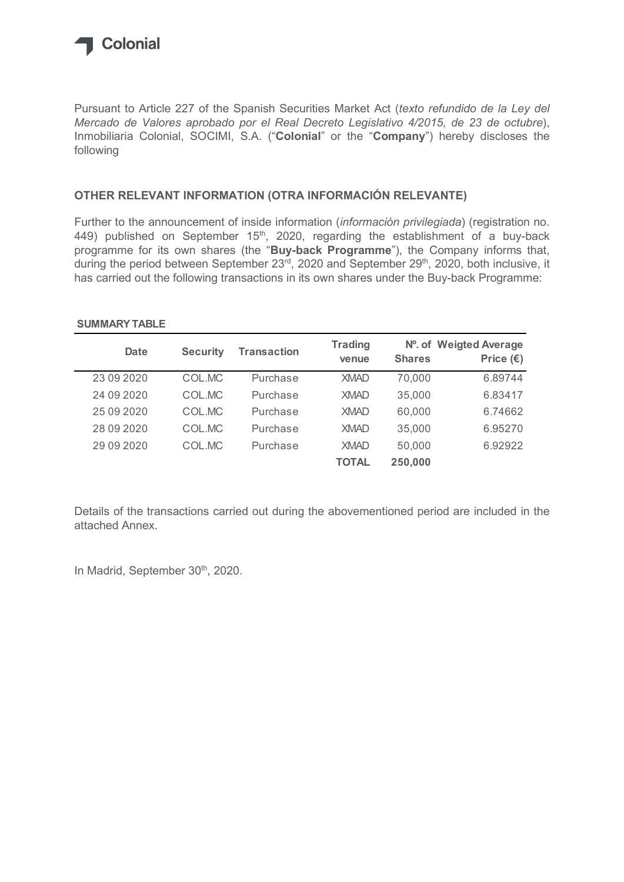

### OTHER RELEVANT INFORMATION (OTRA INFORMACIÓN RELEVANTE)

### SUMMARY TABLE

| following                                                                                                                                                                            |                 | Inmobiliaria Colonial, SOCIMI, S.A. ("Colonial" or the "Company") hereby discloses the                                |                         |               |                                              |
|--------------------------------------------------------------------------------------------------------------------------------------------------------------------------------------|-----------------|-----------------------------------------------------------------------------------------------------------------------|-------------------------|---------------|----------------------------------------------|
| OTHER RELEVANT INFORMATION (OTRA INFORMACIÓN RELEVANTE)                                                                                                                              |                 |                                                                                                                       |                         |               |                                              |
| 449) published on September 15 <sup>th</sup> , 2020, regarding the establishment of a buy-back<br>programme for its own shares (the "Buy-back Programme"), the Company informs that, |                 | during the period between September 23 <sup>rd</sup> , 2020 and September 29 <sup>th</sup> , 2020, both inclusive, it |                         |               |                                              |
| has carried out the following transactions in its own shares under the Buy-back Programme:<br><b>SUMMARY TABLE</b>                                                                   |                 |                                                                                                                       |                         |               |                                              |
| <b>Date</b>                                                                                                                                                                          | <b>Security</b> | <b>Transaction</b>                                                                                                    | <b>Trading</b><br>venue | <b>Shares</b> | Nº. of Weigted Average<br>Price $(\epsilon)$ |
| 23 09 2020                                                                                                                                                                           | COL.MC          | Purchase                                                                                                              | <b>XMAD</b>             | 70,000        | 6.89744                                      |
| 24 09 2020                                                                                                                                                                           | COL.MC          | Purchase                                                                                                              | <b>XMAD</b>             | 35,000        | 6.83417                                      |
| 25 09 20 20                                                                                                                                                                          | COL.MC          | Purchase                                                                                                              | <b>XMAD</b>             | 60,000        | 6.74662                                      |
| 28 09 20 20                                                                                                                                                                          | COL.MC          | Purchase                                                                                                              | <b>XMAD</b>             | 35,000        | 6.95270                                      |
| 29 09 20 20                                                                                                                                                                          | COL.MC          | Purchase                                                                                                              | <b>XMAD</b>             | 50,000        | 6.92922                                      |

Details of the transactions carried out during the abovementioned period are included in the attached Annex.

In Madrid, September 30<sup>th</sup>, 2020.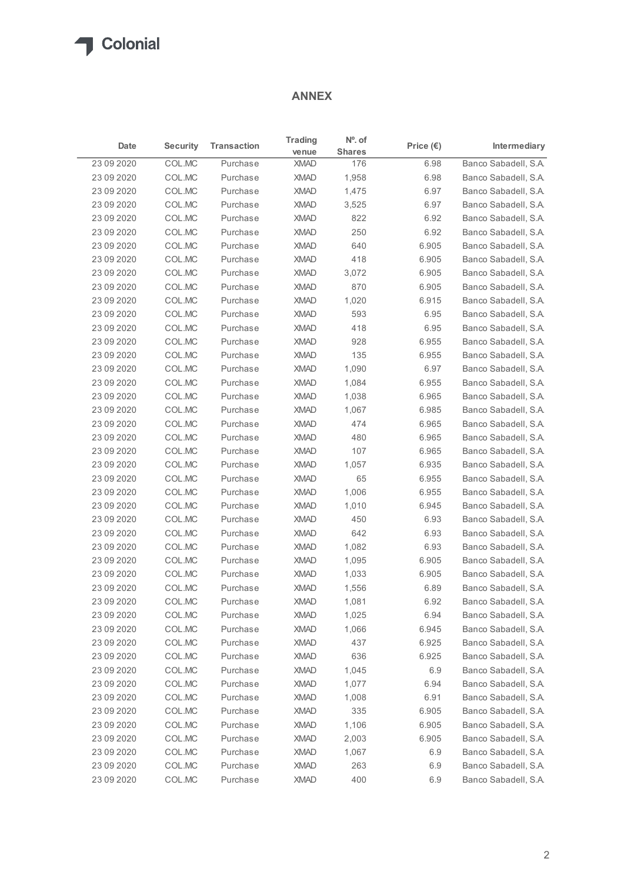## ANNEX

|             |                 |                    | <b>ANNEX</b>            |                            |                    |                      |
|-------------|-----------------|--------------------|-------------------------|----------------------------|--------------------|----------------------|
| Date        | <b>Security</b> | <b>Transaction</b> | <b>Trading</b><br>venue | $No$ . of<br><b>Shares</b> | Price $(\epsilon)$ | Intermediary         |
| 23 09 20 20 | COL.MC          | Purchase           | <b>XMAD</b>             | 176                        | 6.98               | Banco Sabadell, S.A. |
| 23 09 20 20 | COL.MC          | Purchase           | <b>XMAD</b>             | 1,958                      | 6.98               | Banco Sabadell, S.A. |
| 23 09 20 20 | COL.MC          | Purchase           | <b>XMAD</b>             | 1,475                      | 6.97               | Banco Sabadell, S.A. |
| 23 09 20 20 | COL.MC          | Purchase           | <b>XMAD</b>             | 3,525                      | 6.97               | Banco Sabadell, S.A. |
| 23 09 20 20 | COL.MC          | Purchase           | <b>XMAD</b>             | 822                        | 6.92               | Banco Sabadell, S.A. |
| 23 09 20 20 | COL.MC          | Purchase           | <b>XMAD</b>             | 250                        | 6.92               | Banco Sabadell, S.A. |
| 23 09 20 20 | COL.MC          | Purchase           | <b>XMAD</b>             | 640                        | 6.905              | Banco Sabadell, S.A. |
| 23 09 20 20 | COL.MC          | Purchase           | <b>XMAD</b>             | 418                        | 6.905              | Banco Sabadell, S.A. |
| 23 09 20 20 | COL.MC          | Purchase           | <b>XMAD</b>             | 3,072                      | 6.905              | Banco Sabadell, S.A. |
| 23 09 20 20 | COL.MC          | Purchase           | <b>XMAD</b>             | 870                        | 6.905              | Banco Sabadell, S.A. |
| 23 09 20 20 | COL.MC          | Purchase           | <b>XMAD</b>             | 1,020                      | 6.915              | Banco Sabadell, S.A. |
| 23 09 20 20 | COL.MC          | Purchase           | <b>XMAD</b>             | 593                        | 6.95               | Banco Sabadell, S.A. |
| 23 09 20 20 | COL.MC          | Purchase           | <b>XMAD</b>             | 418                        | 6.95               | Banco Sabadell, S.A. |
| 23 09 2020  | COL.MC          | Purchase           | XMAD                    | 928                        | 6.955              | Banco Sabadell, S.A. |
| 23 09 20 20 | COL.MC          | Purchase           | <b>XMAD</b>             | 135                        | 6.955              | Banco Sabadell, S.A. |
| 23 09 20 20 | COL.MC          | Purchase           | <b>XMAD</b>             | 1,090                      | 6.97               | Banco Sabadell, S.A. |
| 23 09 20 20 | COL.MC          | Purchase           | <b>XMAD</b>             | 1,084                      | 6.955              | Banco Sabadell, S.A. |
| 23 09 20 20 | COL.MC          | Purchase           | <b>XMAD</b>             | 1,038                      | 6.965              | Banco Sabadell, S.A. |
| 23 09 20 20 | COL.MC          | Purchase           | <b>XMAD</b>             | 1,067                      | 6.985              | Banco Sabadell, S.A. |
| 23 09 20 20 | COL.MC          | Purchase           | <b>XMAD</b>             | 474                        | 6.965              | Banco Sabadell, S.A. |
| 23 09 20 20 | COL.MC          | Purchase           | <b>XMAD</b>             | 480                        | 6.965              | Banco Sabadell, S.A. |
| 23 09 20 20 | COLMC           | Purchase           | <b>XMAD</b>             | 107                        | 6.965              | Banco Sabadell, S.A. |
| 23 09 20 20 | COL.MC          | Purchase           | <b>XMAD</b>             | 1,057                      | 6.935              | Banco Sabadell, S.A. |
| 23 09 20 20 | COL.MC          | Purchase           | <b>XMAD</b>             | 65                         | 6.955              | Banco Sabadell, S.A. |
| 23 09 20 20 | COL.MC          | Purchase           | <b>XMAD</b>             | 1,006                      | 6.955              | Banco Sabadell, S.A. |
| 23 09 20 20 | COL.MC          | Purchase           | <b>XMAD</b>             | 1,010                      | 6.945              | Banco Sabadell, S.A. |
| 23 09 20 20 | COL.MC          | Purchase           | <b>XMAD</b>             | 450                        | 6.93               | Banco Sabadell, S.A. |
| 23 09 20 20 | COL.MC          | Purchase           | <b>XMAD</b>             | 642                        | 6.93               | Banco Sabadell, S.A. |
| 23 09 20 20 | COL.MC          | Purchase           | <b>XMAD</b>             | 1,082                      | 6.93               | Banco Sabadell, S.A. |
| 23 09 20 20 | COL.MC          | Purchase           | <b>XMAD</b>             | 1,095                      | 6.905              | Banco Sabadell, S.A. |
| 23 09 20 20 | COL.MC          | Purchase           | <b>XMAD</b>             | 1,033                      | 6.905              | Banco Sabadell, S.A. |
| 23 09 20 20 | COL.MC          | Purchase           | <b>XMAD</b>             | 1,556                      | 6.89               | Banco Sabadell, S.A. |
| 23 09 20 20 | COL.MC          | Purchase           | <b>XMAD</b>             | 1,081                      | 6.92               | Banco Sabadell, S.A. |
| 23 09 20 20 | COLMC           | Purchase           | <b>XMAD</b>             | 1,025                      | 6.94               | Banco Sabadell, S.A. |
| 23 09 20 20 | COL.MC          | Purchase           | <b>XMAD</b>             | 1,066                      | 6.945              | Banco Sabadell, S.A. |
| 23 09 20 20 | COL.MC          | Purchase           | <b>XMAD</b>             | 437                        | 6.925              | Banco Sabadell, S.A. |
| 23 09 20 20 | COL.MC          | Purchase           | <b>XMAD</b>             | 636                        | 6.925              | Banco Sabadell, S.A. |
| 23 09 20 20 | COL.MC          | Purchase           | <b>XMAD</b>             | 1,045                      | 6.9                | Banco Sabadell, S.A. |
| 23 09 20 20 | COL.MC          | Purchase           | <b>XMAD</b>             | 1,077                      | 6.94               | Banco Sabadell, S.A. |
| 23 09 20 20 | COL.MC          | Purchase           | <b>XMAD</b>             | 1,008                      | 6.91               | Banco Sabadell, S.A. |
| 23 09 20 20 | COL.MC          | Purchase           | <b>XMAD</b>             | 335                        | 6.905              | Banco Sabadell, S.A. |
| 23 09 20 20 | COL.MC          | Purchase           | <b>XMAD</b>             | 1,106                      | 6.905              | Banco Sabadell, S.A. |
| 23 09 20 20 | COL.MC          | Purchase           | <b>XMAD</b>             | 2,003                      | 6.905              | Banco Sabadell, S.A. |
| 23 09 20 20 | COL.MC          | Purchase           | <b>XMAD</b>             | 1,067                      | 6.9                | Banco Sabadell, S.A. |
| 23 09 20 20 | COL.MC          | Purchase           | <b>XMAD</b>             | 263                        | 6.9                | Banco Sabadell, S.A. |
| 23 09 20 20 |                 |                    |                         | 400                        | 6.9                |                      |
|             | COL.MC          | Purchase           | <b>XMAD</b>             |                            |                    | Banco Sabadell, S.A. |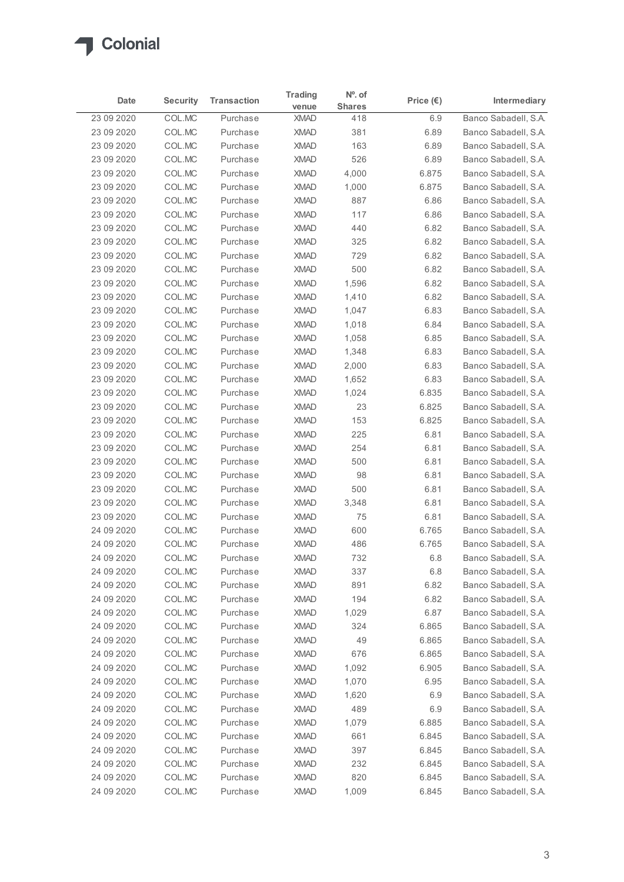| Banco Sabadell, S.A.<br>23 09 2020<br>COL.MC<br>6.9<br>Purchase<br><b>XMAD</b><br>418<br>Banco Sabadell, S.A.<br>23 09 2020<br>COL.MC<br>Purchase<br><b>XMAD</b><br>381<br>6.89<br>COL.MC<br><b>XMAD</b><br>163<br>Banco Sabadell, S.A.<br>23 09 2020<br>Purchase<br>6.89<br>COL.MC<br><b>XMAD</b><br>526<br>Banco Sabadell, S.A.<br>23 09 20 20<br>Purchase<br>6.89<br>COL.MC<br>4,000<br>Banco Sabadell, S.A.<br>23 09 20 20<br>Purchase<br><b>XMAD</b><br>6.875<br>COL.MC<br>6.875<br>Banco Sabadell, S.A.<br>23 09 2020<br>Purchase<br><b>XMAD</b><br>1,000<br>887<br>Banco Sabadell, S.A.<br>23 09 2020<br>COL.MC<br>Purchase<br><b>XMAD</b><br>6.86<br>COL.MC<br>Banco Sabadell, S.A.<br>23 09 2020<br>Purchase<br><b>XMAD</b><br>117<br>6.86<br>23 09 20 20<br>COL.MC<br>Purchase<br><b>XMAD</b><br>440<br>6.82<br>Banco Sabadell, S.A.<br><b>XMAD</b><br>325<br>Banco Sabadell, S.A.<br>23 09 20 20<br>COL.MC<br>Purchase<br>6.82<br>COL.MC<br><b>XMAD</b><br>Banco Sabadell, S.A.<br>23 09 20 20<br>Purchase<br>729<br>6.82<br>COL.MC<br><b>XMAD</b><br>500<br>6.82<br>Banco Sabadell, S.A.<br>23 09 2020<br>Purchase<br>23 09 2020<br>COL.MC<br><b>XMAD</b><br>1,596<br>6.82<br>Banco Sabadell, S.A.<br>Purchase<br>23 09 2020<br>COL.MC<br>XMAD<br>6.82<br>Purchase<br>1,410<br>Banco Sabadell, S.A.<br>23 09 2020<br>COL.MC<br><b>XMAD</b><br>1,047<br>6.83<br>Banco Sabadell, S.A.<br>Purchase<br>COL.MC<br>XMAD<br>1,018<br>6.84<br>Banco Sabadell, S.A.<br>23 09 2020<br>Purchase<br>COL.MC<br><b>XMAD</b><br>1,058<br>23 09 2020<br>Purchase<br>6.85<br>Banco Sabadell, S.A.<br>6.83<br>Banco Sabadell, S.A.<br>23 09 2020<br>COL.MC<br>Purchase<br><b>XMAD</b><br>1,348<br>Banco Sabadell, S.A.<br>23 09 2020<br>COL.MC<br>Purchase<br><b>XMAD</b><br>2,000<br>6.83<br>XMAD<br>1,652<br>6.83<br>23 09 2020<br>COL.MC<br>Purchase<br>Banco Sabadell, S.A.<br>XMAD<br>1,024<br>6.835<br>23 09 2020<br>COL.MC<br>Purchase<br>Banco Sabadell, S.A.<br>COL.MC<br>XMAD<br>6.825<br>23 09 2020<br>Purchase<br>23<br>Banco Sabadell, S.A.<br>COL.MC<br><b>XMAD</b><br>153<br>6.825<br>Banco Sabadell, S.A.<br>23 09 2020<br>Purchase<br>6.81<br>23 09 2020<br>COL.MC<br>Purchase<br><b>XMAD</b><br>225<br>Banco Sabadell, S.A.<br>XMAD<br>254<br>6.81<br>23 09 2020<br>COL.MC<br>Purchase<br>Banco Sabadell, S.A.<br><b>XMAD</b><br>500<br>6.81<br>23 09 2020<br>COL.MC<br>Purchase<br>Banco Sabadell, S.A.<br>COL.MC<br><b>XMAD</b><br>98<br>6.81<br>Banco Sabadell, S.A.<br>23 09 2020<br>Purchase<br>COL.MC<br><b>XMAD</b><br>500<br>6.81<br>Banco Sabadell, S.A.<br>23 09 2020<br>Purchase<br>23 09 2020<br>COL.MC<br>Purchase<br><b>XMAD</b><br>3,348<br>6.81<br>Banco Sabadell, S.A.<br><b>XMAD</b><br>75<br>23 09 2020<br>COL.MC<br>Purchase<br>6.81<br>Banco Sabadell, S.A.<br>COL.MC<br>XMAD<br>600<br>6.765<br>Banco Sabadell, S.A.<br>24 09 2020<br>Purchase<br>COL.MC<br>486<br>6.765<br>Banco Sabadell, S.A.<br>24 09 2020<br>Purchase<br><b>XMAD</b><br>COL.MC<br><b>XMAD</b><br>6.8<br>24 09 2020<br>Purchase<br>732<br>Banco Sabadell, S.A.<br>337<br>6.8<br>24 09 2020<br>COL.MC<br>Purchase<br><b>XMAD</b><br>Banco Sabadell, S.A.<br>891<br>6.82<br>24 09 2020<br>COL.MC<br><b>XMAD</b><br>Banco Sabadell, S.A.<br>Purchase<br>COL.MC<br>XMAD<br>194<br>6.82<br>Banco Sabadell, S.A.<br>24 09 2020<br>Purchase<br><b>XMAD</b><br>1,029<br>6.87<br>24 09 2020<br>COL.MC<br>Purchase<br>Banco Sabadell, S.A.<br><b>XMAD</b><br>6.865<br>24 09 2020<br>COL.MC<br>Purchase<br>324<br>Banco Sabadell, S.A.<br>24 09 2020<br>COL.MC<br>Purchase<br><b>XMAD</b><br>49<br>6.865<br>Banco Sabadell, S.A.<br>676<br>6.865<br>Banco Sabadell, S.A.<br>24 09 2020<br>COL.MC<br>Purchase<br><b>XMAD</b><br>24 09 2020<br>COL.MC<br><b>XMAD</b><br>1,092<br>6.905<br>Banco Sabadell, S.A.<br>Purchase<br>XMAD<br>1,070<br>24 09 2020<br>COL.MC<br>Purchase<br>6.95<br>Banco Sabadell, S.A.<br>COL.MC<br><b>XMAD</b><br>1,620<br>Banco Sabadell, S.A.<br>24 09 2020<br>Purchase<br>6.9<br>24 09 2020<br>COL.MC<br>Purchase<br><b>XMAD</b><br>489<br>6.9<br>Banco Sabadell, S.A.<br>6.885<br>24 09 2020<br>COL.MC<br>Purchase<br><b>XMAD</b><br>1,079<br>Banco Sabadell, S.A.<br>24 09 2020<br>COL.MC<br><b>XMAD</b><br>661<br>6.845<br>Banco Sabadell, S.A.<br>Purchase<br><b>XMAD</b><br>6.845<br>Banco Sabadell, S.A.<br>24 09 2020<br>COL.MC<br>Purchase<br>397<br>24 09 2020<br>COL.MC<br><b>XMAD</b><br>232<br>6.845<br>Banco Sabadell, S.A.<br>Purchase<br>COL.MC<br>820<br>6.845<br>24 09 2020<br>Purchase<br>XMAD<br>Banco Sabadell, S.A. | Date | <b>Security</b> | <b>Transaction</b> | <b>Trading</b> | Nº. of        | Price $(\epsilon)$ | Intermediary |
|----------------------------------------------------------------------------------------------------------------------------------------------------------------------------------------------------------------------------------------------------------------------------------------------------------------------------------------------------------------------------------------------------------------------------------------------------------------------------------------------------------------------------------------------------------------------------------------------------------------------------------------------------------------------------------------------------------------------------------------------------------------------------------------------------------------------------------------------------------------------------------------------------------------------------------------------------------------------------------------------------------------------------------------------------------------------------------------------------------------------------------------------------------------------------------------------------------------------------------------------------------------------------------------------------------------------------------------------------------------------------------------------------------------------------------------------------------------------------------------------------------------------------------------------------------------------------------------------------------------------------------------------------------------------------------------------------------------------------------------------------------------------------------------------------------------------------------------------------------------------------------------------------------------------------------------------------------------------------------------------------------------------------------------------------------------------------------------------------------------------------------------------------------------------------------------------------------------------------------------------------------------------------------------------------------------------------------------------------------------------------------------------------------------------------------------------------------------------------------------------------------------------------------------------------------------------------------------------------------------------------------------------------------------------------------------------------------------------------------------------------------------------------------------------------------------------------------------------------------------------------------------------------------------------------------------------------------------------------------------------------------------------------------------------------------------------------------------------------------------------------------------------------------------------------------------------------------------------------------------------------------------------------------------------------------------------------------------------------------------------------------------------------------------------------------------------------------------------------------------------------------------------------------------------------------------------------------------------------------------------------------------------------------------------------------------------------------------------------------------------------------------------------------------------------------------------------------------------------------------------------------------------------------------------------------------------------------------------------------------------------------------------------------------------------------------------------------------------------------------------------------------------------------------------------------------------------------------------------------------------------------------------------------------------------------------------------------------------------------------------------------------------------------------------------------------------------------------------------------------------------------------------------------------------------------------|------|-----------------|--------------------|----------------|---------------|--------------------|--------------|
|                                                                                                                                                                                                                                                                                                                                                                                                                                                                                                                                                                                                                                                                                                                                                                                                                                                                                                                                                                                                                                                                                                                                                                                                                                                                                                                                                                                                                                                                                                                                                                                                                                                                                                                                                                                                                                                                                                                                                                                                                                                                                                                                                                                                                                                                                                                                                                                                                                                                                                                                                                                                                                                                                                                                                                                                                                                                                                                                                                                                                                                                                                                                                                                                                                                                                                                                                                                                                                                                                                                                                                                                                                                                                                                                                                                                                                                                                                                                                                                                                                                                                                                                                                                                                                                                                                                                                                                                                                                                                                                                                                |      |                 |                    | venue          | <b>Shares</b> |                    |              |
|                                                                                                                                                                                                                                                                                                                                                                                                                                                                                                                                                                                                                                                                                                                                                                                                                                                                                                                                                                                                                                                                                                                                                                                                                                                                                                                                                                                                                                                                                                                                                                                                                                                                                                                                                                                                                                                                                                                                                                                                                                                                                                                                                                                                                                                                                                                                                                                                                                                                                                                                                                                                                                                                                                                                                                                                                                                                                                                                                                                                                                                                                                                                                                                                                                                                                                                                                                                                                                                                                                                                                                                                                                                                                                                                                                                                                                                                                                                                                                                                                                                                                                                                                                                                                                                                                                                                                                                                                                                                                                                                                                |      |                 |                    |                |               |                    |              |
|                                                                                                                                                                                                                                                                                                                                                                                                                                                                                                                                                                                                                                                                                                                                                                                                                                                                                                                                                                                                                                                                                                                                                                                                                                                                                                                                                                                                                                                                                                                                                                                                                                                                                                                                                                                                                                                                                                                                                                                                                                                                                                                                                                                                                                                                                                                                                                                                                                                                                                                                                                                                                                                                                                                                                                                                                                                                                                                                                                                                                                                                                                                                                                                                                                                                                                                                                                                                                                                                                                                                                                                                                                                                                                                                                                                                                                                                                                                                                                                                                                                                                                                                                                                                                                                                                                                                                                                                                                                                                                                                                                |      |                 |                    |                |               |                    |              |
|                                                                                                                                                                                                                                                                                                                                                                                                                                                                                                                                                                                                                                                                                                                                                                                                                                                                                                                                                                                                                                                                                                                                                                                                                                                                                                                                                                                                                                                                                                                                                                                                                                                                                                                                                                                                                                                                                                                                                                                                                                                                                                                                                                                                                                                                                                                                                                                                                                                                                                                                                                                                                                                                                                                                                                                                                                                                                                                                                                                                                                                                                                                                                                                                                                                                                                                                                                                                                                                                                                                                                                                                                                                                                                                                                                                                                                                                                                                                                                                                                                                                                                                                                                                                                                                                                                                                                                                                                                                                                                                                                                |      |                 |                    |                |               |                    |              |
|                                                                                                                                                                                                                                                                                                                                                                                                                                                                                                                                                                                                                                                                                                                                                                                                                                                                                                                                                                                                                                                                                                                                                                                                                                                                                                                                                                                                                                                                                                                                                                                                                                                                                                                                                                                                                                                                                                                                                                                                                                                                                                                                                                                                                                                                                                                                                                                                                                                                                                                                                                                                                                                                                                                                                                                                                                                                                                                                                                                                                                                                                                                                                                                                                                                                                                                                                                                                                                                                                                                                                                                                                                                                                                                                                                                                                                                                                                                                                                                                                                                                                                                                                                                                                                                                                                                                                                                                                                                                                                                                                                |      |                 |                    |                |               |                    |              |
|                                                                                                                                                                                                                                                                                                                                                                                                                                                                                                                                                                                                                                                                                                                                                                                                                                                                                                                                                                                                                                                                                                                                                                                                                                                                                                                                                                                                                                                                                                                                                                                                                                                                                                                                                                                                                                                                                                                                                                                                                                                                                                                                                                                                                                                                                                                                                                                                                                                                                                                                                                                                                                                                                                                                                                                                                                                                                                                                                                                                                                                                                                                                                                                                                                                                                                                                                                                                                                                                                                                                                                                                                                                                                                                                                                                                                                                                                                                                                                                                                                                                                                                                                                                                                                                                                                                                                                                                                                                                                                                                                                |      |                 |                    |                |               |                    |              |
|                                                                                                                                                                                                                                                                                                                                                                                                                                                                                                                                                                                                                                                                                                                                                                                                                                                                                                                                                                                                                                                                                                                                                                                                                                                                                                                                                                                                                                                                                                                                                                                                                                                                                                                                                                                                                                                                                                                                                                                                                                                                                                                                                                                                                                                                                                                                                                                                                                                                                                                                                                                                                                                                                                                                                                                                                                                                                                                                                                                                                                                                                                                                                                                                                                                                                                                                                                                                                                                                                                                                                                                                                                                                                                                                                                                                                                                                                                                                                                                                                                                                                                                                                                                                                                                                                                                                                                                                                                                                                                                                                                |      |                 |                    |                |               |                    |              |
|                                                                                                                                                                                                                                                                                                                                                                                                                                                                                                                                                                                                                                                                                                                                                                                                                                                                                                                                                                                                                                                                                                                                                                                                                                                                                                                                                                                                                                                                                                                                                                                                                                                                                                                                                                                                                                                                                                                                                                                                                                                                                                                                                                                                                                                                                                                                                                                                                                                                                                                                                                                                                                                                                                                                                                                                                                                                                                                                                                                                                                                                                                                                                                                                                                                                                                                                                                                                                                                                                                                                                                                                                                                                                                                                                                                                                                                                                                                                                                                                                                                                                                                                                                                                                                                                                                                                                                                                                                                                                                                                                                |      |                 |                    |                |               |                    |              |
|                                                                                                                                                                                                                                                                                                                                                                                                                                                                                                                                                                                                                                                                                                                                                                                                                                                                                                                                                                                                                                                                                                                                                                                                                                                                                                                                                                                                                                                                                                                                                                                                                                                                                                                                                                                                                                                                                                                                                                                                                                                                                                                                                                                                                                                                                                                                                                                                                                                                                                                                                                                                                                                                                                                                                                                                                                                                                                                                                                                                                                                                                                                                                                                                                                                                                                                                                                                                                                                                                                                                                                                                                                                                                                                                                                                                                                                                                                                                                                                                                                                                                                                                                                                                                                                                                                                                                                                                                                                                                                                                                                |      |                 |                    |                |               |                    |              |
|                                                                                                                                                                                                                                                                                                                                                                                                                                                                                                                                                                                                                                                                                                                                                                                                                                                                                                                                                                                                                                                                                                                                                                                                                                                                                                                                                                                                                                                                                                                                                                                                                                                                                                                                                                                                                                                                                                                                                                                                                                                                                                                                                                                                                                                                                                                                                                                                                                                                                                                                                                                                                                                                                                                                                                                                                                                                                                                                                                                                                                                                                                                                                                                                                                                                                                                                                                                                                                                                                                                                                                                                                                                                                                                                                                                                                                                                                                                                                                                                                                                                                                                                                                                                                                                                                                                                                                                                                                                                                                                                                                |      |                 |                    |                |               |                    |              |
|                                                                                                                                                                                                                                                                                                                                                                                                                                                                                                                                                                                                                                                                                                                                                                                                                                                                                                                                                                                                                                                                                                                                                                                                                                                                                                                                                                                                                                                                                                                                                                                                                                                                                                                                                                                                                                                                                                                                                                                                                                                                                                                                                                                                                                                                                                                                                                                                                                                                                                                                                                                                                                                                                                                                                                                                                                                                                                                                                                                                                                                                                                                                                                                                                                                                                                                                                                                                                                                                                                                                                                                                                                                                                                                                                                                                                                                                                                                                                                                                                                                                                                                                                                                                                                                                                                                                                                                                                                                                                                                                                                |      |                 |                    |                |               |                    |              |
|                                                                                                                                                                                                                                                                                                                                                                                                                                                                                                                                                                                                                                                                                                                                                                                                                                                                                                                                                                                                                                                                                                                                                                                                                                                                                                                                                                                                                                                                                                                                                                                                                                                                                                                                                                                                                                                                                                                                                                                                                                                                                                                                                                                                                                                                                                                                                                                                                                                                                                                                                                                                                                                                                                                                                                                                                                                                                                                                                                                                                                                                                                                                                                                                                                                                                                                                                                                                                                                                                                                                                                                                                                                                                                                                                                                                                                                                                                                                                                                                                                                                                                                                                                                                                                                                                                                                                                                                                                                                                                                                                                |      |                 |                    |                |               |                    |              |
|                                                                                                                                                                                                                                                                                                                                                                                                                                                                                                                                                                                                                                                                                                                                                                                                                                                                                                                                                                                                                                                                                                                                                                                                                                                                                                                                                                                                                                                                                                                                                                                                                                                                                                                                                                                                                                                                                                                                                                                                                                                                                                                                                                                                                                                                                                                                                                                                                                                                                                                                                                                                                                                                                                                                                                                                                                                                                                                                                                                                                                                                                                                                                                                                                                                                                                                                                                                                                                                                                                                                                                                                                                                                                                                                                                                                                                                                                                                                                                                                                                                                                                                                                                                                                                                                                                                                                                                                                                                                                                                                                                |      |                 |                    |                |               |                    |              |
|                                                                                                                                                                                                                                                                                                                                                                                                                                                                                                                                                                                                                                                                                                                                                                                                                                                                                                                                                                                                                                                                                                                                                                                                                                                                                                                                                                                                                                                                                                                                                                                                                                                                                                                                                                                                                                                                                                                                                                                                                                                                                                                                                                                                                                                                                                                                                                                                                                                                                                                                                                                                                                                                                                                                                                                                                                                                                                                                                                                                                                                                                                                                                                                                                                                                                                                                                                                                                                                                                                                                                                                                                                                                                                                                                                                                                                                                                                                                                                                                                                                                                                                                                                                                                                                                                                                                                                                                                                                                                                                                                                |      |                 |                    |                |               |                    |              |
|                                                                                                                                                                                                                                                                                                                                                                                                                                                                                                                                                                                                                                                                                                                                                                                                                                                                                                                                                                                                                                                                                                                                                                                                                                                                                                                                                                                                                                                                                                                                                                                                                                                                                                                                                                                                                                                                                                                                                                                                                                                                                                                                                                                                                                                                                                                                                                                                                                                                                                                                                                                                                                                                                                                                                                                                                                                                                                                                                                                                                                                                                                                                                                                                                                                                                                                                                                                                                                                                                                                                                                                                                                                                                                                                                                                                                                                                                                                                                                                                                                                                                                                                                                                                                                                                                                                                                                                                                                                                                                                                                                |      |                 |                    |                |               |                    |              |
|                                                                                                                                                                                                                                                                                                                                                                                                                                                                                                                                                                                                                                                                                                                                                                                                                                                                                                                                                                                                                                                                                                                                                                                                                                                                                                                                                                                                                                                                                                                                                                                                                                                                                                                                                                                                                                                                                                                                                                                                                                                                                                                                                                                                                                                                                                                                                                                                                                                                                                                                                                                                                                                                                                                                                                                                                                                                                                                                                                                                                                                                                                                                                                                                                                                                                                                                                                                                                                                                                                                                                                                                                                                                                                                                                                                                                                                                                                                                                                                                                                                                                                                                                                                                                                                                                                                                                                                                                                                                                                                                                                |      |                 |                    |                |               |                    |              |
|                                                                                                                                                                                                                                                                                                                                                                                                                                                                                                                                                                                                                                                                                                                                                                                                                                                                                                                                                                                                                                                                                                                                                                                                                                                                                                                                                                                                                                                                                                                                                                                                                                                                                                                                                                                                                                                                                                                                                                                                                                                                                                                                                                                                                                                                                                                                                                                                                                                                                                                                                                                                                                                                                                                                                                                                                                                                                                                                                                                                                                                                                                                                                                                                                                                                                                                                                                                                                                                                                                                                                                                                                                                                                                                                                                                                                                                                                                                                                                                                                                                                                                                                                                                                                                                                                                                                                                                                                                                                                                                                                                |      |                 |                    |                |               |                    |              |
|                                                                                                                                                                                                                                                                                                                                                                                                                                                                                                                                                                                                                                                                                                                                                                                                                                                                                                                                                                                                                                                                                                                                                                                                                                                                                                                                                                                                                                                                                                                                                                                                                                                                                                                                                                                                                                                                                                                                                                                                                                                                                                                                                                                                                                                                                                                                                                                                                                                                                                                                                                                                                                                                                                                                                                                                                                                                                                                                                                                                                                                                                                                                                                                                                                                                                                                                                                                                                                                                                                                                                                                                                                                                                                                                                                                                                                                                                                                                                                                                                                                                                                                                                                                                                                                                                                                                                                                                                                                                                                                                                                |      |                 |                    |                |               |                    |              |
|                                                                                                                                                                                                                                                                                                                                                                                                                                                                                                                                                                                                                                                                                                                                                                                                                                                                                                                                                                                                                                                                                                                                                                                                                                                                                                                                                                                                                                                                                                                                                                                                                                                                                                                                                                                                                                                                                                                                                                                                                                                                                                                                                                                                                                                                                                                                                                                                                                                                                                                                                                                                                                                                                                                                                                                                                                                                                                                                                                                                                                                                                                                                                                                                                                                                                                                                                                                                                                                                                                                                                                                                                                                                                                                                                                                                                                                                                                                                                                                                                                                                                                                                                                                                                                                                                                                                                                                                                                                                                                                                                                |      |                 |                    |                |               |                    |              |
|                                                                                                                                                                                                                                                                                                                                                                                                                                                                                                                                                                                                                                                                                                                                                                                                                                                                                                                                                                                                                                                                                                                                                                                                                                                                                                                                                                                                                                                                                                                                                                                                                                                                                                                                                                                                                                                                                                                                                                                                                                                                                                                                                                                                                                                                                                                                                                                                                                                                                                                                                                                                                                                                                                                                                                                                                                                                                                                                                                                                                                                                                                                                                                                                                                                                                                                                                                                                                                                                                                                                                                                                                                                                                                                                                                                                                                                                                                                                                                                                                                                                                                                                                                                                                                                                                                                                                                                                                                                                                                                                                                |      |                 |                    |                |               |                    |              |
|                                                                                                                                                                                                                                                                                                                                                                                                                                                                                                                                                                                                                                                                                                                                                                                                                                                                                                                                                                                                                                                                                                                                                                                                                                                                                                                                                                                                                                                                                                                                                                                                                                                                                                                                                                                                                                                                                                                                                                                                                                                                                                                                                                                                                                                                                                                                                                                                                                                                                                                                                                                                                                                                                                                                                                                                                                                                                                                                                                                                                                                                                                                                                                                                                                                                                                                                                                                                                                                                                                                                                                                                                                                                                                                                                                                                                                                                                                                                                                                                                                                                                                                                                                                                                                                                                                                                                                                                                                                                                                                                                                |      |                 |                    |                |               |                    |              |
|                                                                                                                                                                                                                                                                                                                                                                                                                                                                                                                                                                                                                                                                                                                                                                                                                                                                                                                                                                                                                                                                                                                                                                                                                                                                                                                                                                                                                                                                                                                                                                                                                                                                                                                                                                                                                                                                                                                                                                                                                                                                                                                                                                                                                                                                                                                                                                                                                                                                                                                                                                                                                                                                                                                                                                                                                                                                                                                                                                                                                                                                                                                                                                                                                                                                                                                                                                                                                                                                                                                                                                                                                                                                                                                                                                                                                                                                                                                                                                                                                                                                                                                                                                                                                                                                                                                                                                                                                                                                                                                                                                |      |                 |                    |                |               |                    |              |
|                                                                                                                                                                                                                                                                                                                                                                                                                                                                                                                                                                                                                                                                                                                                                                                                                                                                                                                                                                                                                                                                                                                                                                                                                                                                                                                                                                                                                                                                                                                                                                                                                                                                                                                                                                                                                                                                                                                                                                                                                                                                                                                                                                                                                                                                                                                                                                                                                                                                                                                                                                                                                                                                                                                                                                                                                                                                                                                                                                                                                                                                                                                                                                                                                                                                                                                                                                                                                                                                                                                                                                                                                                                                                                                                                                                                                                                                                                                                                                                                                                                                                                                                                                                                                                                                                                                                                                                                                                                                                                                                                                |      |                 |                    |                |               |                    |              |
|                                                                                                                                                                                                                                                                                                                                                                                                                                                                                                                                                                                                                                                                                                                                                                                                                                                                                                                                                                                                                                                                                                                                                                                                                                                                                                                                                                                                                                                                                                                                                                                                                                                                                                                                                                                                                                                                                                                                                                                                                                                                                                                                                                                                                                                                                                                                                                                                                                                                                                                                                                                                                                                                                                                                                                                                                                                                                                                                                                                                                                                                                                                                                                                                                                                                                                                                                                                                                                                                                                                                                                                                                                                                                                                                                                                                                                                                                                                                                                                                                                                                                                                                                                                                                                                                                                                                                                                                                                                                                                                                                                |      |                 |                    |                |               |                    |              |
|                                                                                                                                                                                                                                                                                                                                                                                                                                                                                                                                                                                                                                                                                                                                                                                                                                                                                                                                                                                                                                                                                                                                                                                                                                                                                                                                                                                                                                                                                                                                                                                                                                                                                                                                                                                                                                                                                                                                                                                                                                                                                                                                                                                                                                                                                                                                                                                                                                                                                                                                                                                                                                                                                                                                                                                                                                                                                                                                                                                                                                                                                                                                                                                                                                                                                                                                                                                                                                                                                                                                                                                                                                                                                                                                                                                                                                                                                                                                                                                                                                                                                                                                                                                                                                                                                                                                                                                                                                                                                                                                                                |      |                 |                    |                |               |                    |              |
|                                                                                                                                                                                                                                                                                                                                                                                                                                                                                                                                                                                                                                                                                                                                                                                                                                                                                                                                                                                                                                                                                                                                                                                                                                                                                                                                                                                                                                                                                                                                                                                                                                                                                                                                                                                                                                                                                                                                                                                                                                                                                                                                                                                                                                                                                                                                                                                                                                                                                                                                                                                                                                                                                                                                                                                                                                                                                                                                                                                                                                                                                                                                                                                                                                                                                                                                                                                                                                                                                                                                                                                                                                                                                                                                                                                                                                                                                                                                                                                                                                                                                                                                                                                                                                                                                                                                                                                                                                                                                                                                                                |      |                 |                    |                |               |                    |              |
|                                                                                                                                                                                                                                                                                                                                                                                                                                                                                                                                                                                                                                                                                                                                                                                                                                                                                                                                                                                                                                                                                                                                                                                                                                                                                                                                                                                                                                                                                                                                                                                                                                                                                                                                                                                                                                                                                                                                                                                                                                                                                                                                                                                                                                                                                                                                                                                                                                                                                                                                                                                                                                                                                                                                                                                                                                                                                                                                                                                                                                                                                                                                                                                                                                                                                                                                                                                                                                                                                                                                                                                                                                                                                                                                                                                                                                                                                                                                                                                                                                                                                                                                                                                                                                                                                                                                                                                                                                                                                                                                                                |      |                 |                    |                |               |                    |              |
|                                                                                                                                                                                                                                                                                                                                                                                                                                                                                                                                                                                                                                                                                                                                                                                                                                                                                                                                                                                                                                                                                                                                                                                                                                                                                                                                                                                                                                                                                                                                                                                                                                                                                                                                                                                                                                                                                                                                                                                                                                                                                                                                                                                                                                                                                                                                                                                                                                                                                                                                                                                                                                                                                                                                                                                                                                                                                                                                                                                                                                                                                                                                                                                                                                                                                                                                                                                                                                                                                                                                                                                                                                                                                                                                                                                                                                                                                                                                                                                                                                                                                                                                                                                                                                                                                                                                                                                                                                                                                                                                                                |      |                 |                    |                |               |                    |              |
|                                                                                                                                                                                                                                                                                                                                                                                                                                                                                                                                                                                                                                                                                                                                                                                                                                                                                                                                                                                                                                                                                                                                                                                                                                                                                                                                                                                                                                                                                                                                                                                                                                                                                                                                                                                                                                                                                                                                                                                                                                                                                                                                                                                                                                                                                                                                                                                                                                                                                                                                                                                                                                                                                                                                                                                                                                                                                                                                                                                                                                                                                                                                                                                                                                                                                                                                                                                                                                                                                                                                                                                                                                                                                                                                                                                                                                                                                                                                                                                                                                                                                                                                                                                                                                                                                                                                                                                                                                                                                                                                                                |      |                 |                    |                |               |                    |              |
|                                                                                                                                                                                                                                                                                                                                                                                                                                                                                                                                                                                                                                                                                                                                                                                                                                                                                                                                                                                                                                                                                                                                                                                                                                                                                                                                                                                                                                                                                                                                                                                                                                                                                                                                                                                                                                                                                                                                                                                                                                                                                                                                                                                                                                                                                                                                                                                                                                                                                                                                                                                                                                                                                                                                                                                                                                                                                                                                                                                                                                                                                                                                                                                                                                                                                                                                                                                                                                                                                                                                                                                                                                                                                                                                                                                                                                                                                                                                                                                                                                                                                                                                                                                                                                                                                                                                                                                                                                                                                                                                                                |      |                 |                    |                |               |                    |              |
|                                                                                                                                                                                                                                                                                                                                                                                                                                                                                                                                                                                                                                                                                                                                                                                                                                                                                                                                                                                                                                                                                                                                                                                                                                                                                                                                                                                                                                                                                                                                                                                                                                                                                                                                                                                                                                                                                                                                                                                                                                                                                                                                                                                                                                                                                                                                                                                                                                                                                                                                                                                                                                                                                                                                                                                                                                                                                                                                                                                                                                                                                                                                                                                                                                                                                                                                                                                                                                                                                                                                                                                                                                                                                                                                                                                                                                                                                                                                                                                                                                                                                                                                                                                                                                                                                                                                                                                                                                                                                                                                                                |      |                 |                    |                |               |                    |              |
|                                                                                                                                                                                                                                                                                                                                                                                                                                                                                                                                                                                                                                                                                                                                                                                                                                                                                                                                                                                                                                                                                                                                                                                                                                                                                                                                                                                                                                                                                                                                                                                                                                                                                                                                                                                                                                                                                                                                                                                                                                                                                                                                                                                                                                                                                                                                                                                                                                                                                                                                                                                                                                                                                                                                                                                                                                                                                                                                                                                                                                                                                                                                                                                                                                                                                                                                                                                                                                                                                                                                                                                                                                                                                                                                                                                                                                                                                                                                                                                                                                                                                                                                                                                                                                                                                                                                                                                                                                                                                                                                                                |      |                 |                    |                |               |                    |              |
|                                                                                                                                                                                                                                                                                                                                                                                                                                                                                                                                                                                                                                                                                                                                                                                                                                                                                                                                                                                                                                                                                                                                                                                                                                                                                                                                                                                                                                                                                                                                                                                                                                                                                                                                                                                                                                                                                                                                                                                                                                                                                                                                                                                                                                                                                                                                                                                                                                                                                                                                                                                                                                                                                                                                                                                                                                                                                                                                                                                                                                                                                                                                                                                                                                                                                                                                                                                                                                                                                                                                                                                                                                                                                                                                                                                                                                                                                                                                                                                                                                                                                                                                                                                                                                                                                                                                                                                                                                                                                                                                                                |      |                 |                    |                |               |                    |              |
|                                                                                                                                                                                                                                                                                                                                                                                                                                                                                                                                                                                                                                                                                                                                                                                                                                                                                                                                                                                                                                                                                                                                                                                                                                                                                                                                                                                                                                                                                                                                                                                                                                                                                                                                                                                                                                                                                                                                                                                                                                                                                                                                                                                                                                                                                                                                                                                                                                                                                                                                                                                                                                                                                                                                                                                                                                                                                                                                                                                                                                                                                                                                                                                                                                                                                                                                                                                                                                                                                                                                                                                                                                                                                                                                                                                                                                                                                                                                                                                                                                                                                                                                                                                                                                                                                                                                                                                                                                                                                                                                                                |      |                 |                    |                |               |                    |              |
|                                                                                                                                                                                                                                                                                                                                                                                                                                                                                                                                                                                                                                                                                                                                                                                                                                                                                                                                                                                                                                                                                                                                                                                                                                                                                                                                                                                                                                                                                                                                                                                                                                                                                                                                                                                                                                                                                                                                                                                                                                                                                                                                                                                                                                                                                                                                                                                                                                                                                                                                                                                                                                                                                                                                                                                                                                                                                                                                                                                                                                                                                                                                                                                                                                                                                                                                                                                                                                                                                                                                                                                                                                                                                                                                                                                                                                                                                                                                                                                                                                                                                                                                                                                                                                                                                                                                                                                                                                                                                                                                                                |      |                 |                    |                |               |                    |              |
|                                                                                                                                                                                                                                                                                                                                                                                                                                                                                                                                                                                                                                                                                                                                                                                                                                                                                                                                                                                                                                                                                                                                                                                                                                                                                                                                                                                                                                                                                                                                                                                                                                                                                                                                                                                                                                                                                                                                                                                                                                                                                                                                                                                                                                                                                                                                                                                                                                                                                                                                                                                                                                                                                                                                                                                                                                                                                                                                                                                                                                                                                                                                                                                                                                                                                                                                                                                                                                                                                                                                                                                                                                                                                                                                                                                                                                                                                                                                                                                                                                                                                                                                                                                                                                                                                                                                                                                                                                                                                                                                                                |      |                 |                    |                |               |                    |              |
|                                                                                                                                                                                                                                                                                                                                                                                                                                                                                                                                                                                                                                                                                                                                                                                                                                                                                                                                                                                                                                                                                                                                                                                                                                                                                                                                                                                                                                                                                                                                                                                                                                                                                                                                                                                                                                                                                                                                                                                                                                                                                                                                                                                                                                                                                                                                                                                                                                                                                                                                                                                                                                                                                                                                                                                                                                                                                                                                                                                                                                                                                                                                                                                                                                                                                                                                                                                                                                                                                                                                                                                                                                                                                                                                                                                                                                                                                                                                                                                                                                                                                                                                                                                                                                                                                                                                                                                                                                                                                                                                                                |      |                 |                    |                |               |                    |              |
|                                                                                                                                                                                                                                                                                                                                                                                                                                                                                                                                                                                                                                                                                                                                                                                                                                                                                                                                                                                                                                                                                                                                                                                                                                                                                                                                                                                                                                                                                                                                                                                                                                                                                                                                                                                                                                                                                                                                                                                                                                                                                                                                                                                                                                                                                                                                                                                                                                                                                                                                                                                                                                                                                                                                                                                                                                                                                                                                                                                                                                                                                                                                                                                                                                                                                                                                                                                                                                                                                                                                                                                                                                                                                                                                                                                                                                                                                                                                                                                                                                                                                                                                                                                                                                                                                                                                                                                                                                                                                                                                                                |      |                 |                    |                |               |                    |              |
|                                                                                                                                                                                                                                                                                                                                                                                                                                                                                                                                                                                                                                                                                                                                                                                                                                                                                                                                                                                                                                                                                                                                                                                                                                                                                                                                                                                                                                                                                                                                                                                                                                                                                                                                                                                                                                                                                                                                                                                                                                                                                                                                                                                                                                                                                                                                                                                                                                                                                                                                                                                                                                                                                                                                                                                                                                                                                                                                                                                                                                                                                                                                                                                                                                                                                                                                                                                                                                                                                                                                                                                                                                                                                                                                                                                                                                                                                                                                                                                                                                                                                                                                                                                                                                                                                                                                                                                                                                                                                                                                                                |      |                 |                    |                |               |                    |              |
|                                                                                                                                                                                                                                                                                                                                                                                                                                                                                                                                                                                                                                                                                                                                                                                                                                                                                                                                                                                                                                                                                                                                                                                                                                                                                                                                                                                                                                                                                                                                                                                                                                                                                                                                                                                                                                                                                                                                                                                                                                                                                                                                                                                                                                                                                                                                                                                                                                                                                                                                                                                                                                                                                                                                                                                                                                                                                                                                                                                                                                                                                                                                                                                                                                                                                                                                                                                                                                                                                                                                                                                                                                                                                                                                                                                                                                                                                                                                                                                                                                                                                                                                                                                                                                                                                                                                                                                                                                                                                                                                                                |      |                 |                    |                |               |                    |              |
|                                                                                                                                                                                                                                                                                                                                                                                                                                                                                                                                                                                                                                                                                                                                                                                                                                                                                                                                                                                                                                                                                                                                                                                                                                                                                                                                                                                                                                                                                                                                                                                                                                                                                                                                                                                                                                                                                                                                                                                                                                                                                                                                                                                                                                                                                                                                                                                                                                                                                                                                                                                                                                                                                                                                                                                                                                                                                                                                                                                                                                                                                                                                                                                                                                                                                                                                                                                                                                                                                                                                                                                                                                                                                                                                                                                                                                                                                                                                                                                                                                                                                                                                                                                                                                                                                                                                                                                                                                                                                                                                                                |      |                 |                    |                |               |                    |              |
|                                                                                                                                                                                                                                                                                                                                                                                                                                                                                                                                                                                                                                                                                                                                                                                                                                                                                                                                                                                                                                                                                                                                                                                                                                                                                                                                                                                                                                                                                                                                                                                                                                                                                                                                                                                                                                                                                                                                                                                                                                                                                                                                                                                                                                                                                                                                                                                                                                                                                                                                                                                                                                                                                                                                                                                                                                                                                                                                                                                                                                                                                                                                                                                                                                                                                                                                                                                                                                                                                                                                                                                                                                                                                                                                                                                                                                                                                                                                                                                                                                                                                                                                                                                                                                                                                                                                                                                                                                                                                                                                                                |      |                 |                    |                |               |                    |              |
|                                                                                                                                                                                                                                                                                                                                                                                                                                                                                                                                                                                                                                                                                                                                                                                                                                                                                                                                                                                                                                                                                                                                                                                                                                                                                                                                                                                                                                                                                                                                                                                                                                                                                                                                                                                                                                                                                                                                                                                                                                                                                                                                                                                                                                                                                                                                                                                                                                                                                                                                                                                                                                                                                                                                                                                                                                                                                                                                                                                                                                                                                                                                                                                                                                                                                                                                                                                                                                                                                                                                                                                                                                                                                                                                                                                                                                                                                                                                                                                                                                                                                                                                                                                                                                                                                                                                                                                                                                                                                                                                                                |      |                 |                    |                |               |                    |              |
|                                                                                                                                                                                                                                                                                                                                                                                                                                                                                                                                                                                                                                                                                                                                                                                                                                                                                                                                                                                                                                                                                                                                                                                                                                                                                                                                                                                                                                                                                                                                                                                                                                                                                                                                                                                                                                                                                                                                                                                                                                                                                                                                                                                                                                                                                                                                                                                                                                                                                                                                                                                                                                                                                                                                                                                                                                                                                                                                                                                                                                                                                                                                                                                                                                                                                                                                                                                                                                                                                                                                                                                                                                                                                                                                                                                                                                                                                                                                                                                                                                                                                                                                                                                                                                                                                                                                                                                                                                                                                                                                                                |      |                 |                    |                |               |                    |              |
| 6.845<br>24 09 2020<br>COL.MC<br>Purchase<br>XMAD<br>1,009<br>Banco Sabadell, S.A.                                                                                                                                                                                                                                                                                                                                                                                                                                                                                                                                                                                                                                                                                                                                                                                                                                                                                                                                                                                                                                                                                                                                                                                                                                                                                                                                                                                                                                                                                                                                                                                                                                                                                                                                                                                                                                                                                                                                                                                                                                                                                                                                                                                                                                                                                                                                                                                                                                                                                                                                                                                                                                                                                                                                                                                                                                                                                                                                                                                                                                                                                                                                                                                                                                                                                                                                                                                                                                                                                                                                                                                                                                                                                                                                                                                                                                                                                                                                                                                                                                                                                                                                                                                                                                                                                                                                                                                                                                                                             |      |                 |                    |                |               |                    |              |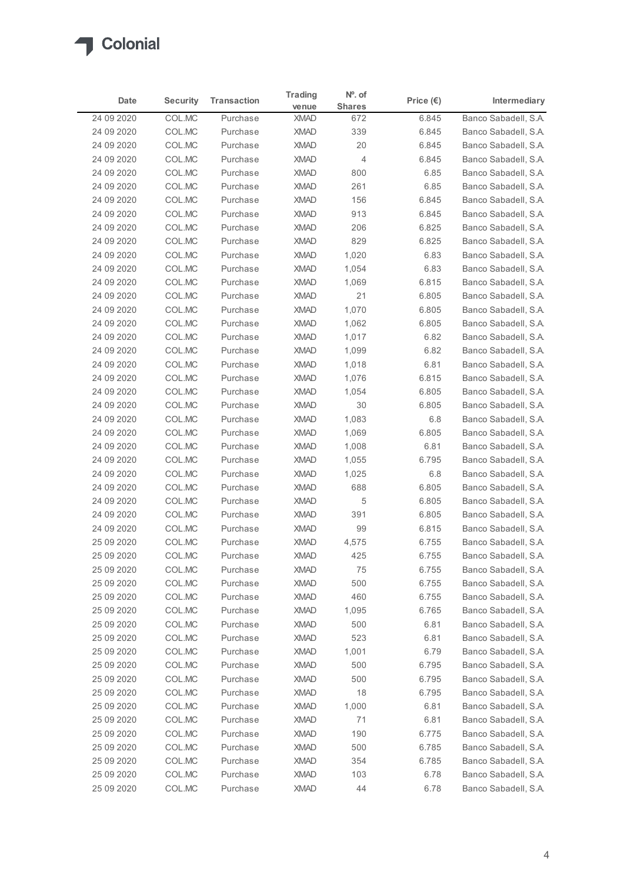

| Date       | <b>Security</b> | <b>Transaction</b> | <b>Trading</b><br>venue | $No$ . of<br><b>Shares</b> | Price $(\epsilon)$ | Intermediary         |
|------------|-----------------|--------------------|-------------------------|----------------------------|--------------------|----------------------|
| 24 09 2020 | COL.MC          | Purchase           | <b>XMAD</b>             | 672                        | 6.845              | Banco Sabadell, S.A. |
| 24 09 2020 | COL.MC          | Purchase           | <b>XMAD</b>             | 339                        | 6.845              | Banco Sabadell, S.A. |
| 24 09 2020 | COL.MC          | Purchase           | <b>XMAD</b>             | 20                         | 6.845              | Banco Sabadell, S.A. |
| 24 09 2020 | COL.MC          | Purchase           | <b>XMAD</b>             | $\overline{4}$             | 6.845              | Banco Sabadell, S.A. |
| 24 09 2020 | COL.MC          | Purchase           | <b>XMAD</b>             | 800                        | 6.85               | Banco Sabadell, S.A. |
| 24 09 2020 | COL.MC          | Purchase           | <b>XMAD</b>             | 261                        | 6.85               | Banco Sabadell, S.A. |
| 24 09 2020 | COL.MC          | Purchase           | <b>XMAD</b>             | 156                        | 6.845              | Banco Sabadell, S.A. |
| 24 09 2020 | COL.MC          | Purchase           | <b>XMAD</b>             | 913                        | 6.845              | Banco Sabadell, S.A. |
| 24 09 2020 | COL.MC          | Purchase           | <b>XMAD</b>             | 206                        | 6.825              | Banco Sabadell, S.A. |
| 24 09 2020 | COL.MC          | Purchase           | <b>XMAD</b>             | 829                        | 6.825              | Banco Sabadell, S.A. |
| 24 09 2020 | COL.MC          | Purchase           | <b>XMAD</b>             | 1,020                      | 6.83               | Banco Sabadell, S.A. |
| 24 09 2020 | COL.MC          | Purchase           | <b>XMAD</b>             | 1,054                      | 6.83               | Banco Sabadell, S.A. |
| 24 09 2020 | COL.MC          | Purchase           | <b>XMAD</b>             | 1,069                      | 6.815              | Banco Sabadell, S.A. |
| 24 09 2020 | COL.MC          | Purchase           | <b>XMAD</b>             | 21                         | 6.805              | Banco Sabadell, S.A. |
| 24 09 2020 | COL.MC          | Purchase           | <b>XMAD</b>             | 1,070                      | 6.805              | Banco Sabadell, S.A. |
| 24 09 2020 | COL.MC          | Purchase           | <b>XMAD</b>             | 1,062                      | 6.805              | Banco Sabadell, S.A. |
| 24 09 2020 | COL.MC          | Purchase           | <b>XMAD</b>             | 1,017                      | 6.82               | Banco Sabadell, S.A. |
| 24 09 2020 | COL.MC          | Purchase           | <b>XMAD</b>             | 1,099                      | 6.82               | Banco Sabadell, S.A. |
| 24 09 2020 | COL.MC          | Purchase           | <b>XMAD</b>             | 1,018                      | 6.81               | Banco Sabadell, S.A. |
| 24 09 2020 | COL.MC          | Purchase           | <b>XMAD</b>             | 1,076                      | 6.815              | Banco Sabadell, S.A. |
| 24 09 2020 | COL.MC          | Purchase           | <b>XMAD</b>             | 1,054                      | 6.805              | Banco Sabadell, S.A. |
| 24 09 2020 | COL.MC          | Purchase           | <b>XMAD</b>             | 30                         | 6.805              | Banco Sabadell, S.A. |
| 24 09 2020 | COL.MC          | Purchase           | <b>XMAD</b>             | 1,083                      | 6.8                | Banco Sabadell, S.A. |
| 24 09 2020 | COL.MC          | Purchase           | <b>XMAD</b>             | 1,069                      | 6.805              | Banco Sabadell, S.A. |
| 24 09 2020 | COL.MC          | Purchase           | <b>XMAD</b>             | 1,008                      | 6.81               | Banco Sabadell, S.A. |
| 24 09 2020 | COL.MC          | Purchase           | <b>XMAD</b>             | 1,055                      | 6.795              | Banco Sabadell, S.A. |
| 24 09 2020 | COL.MC          | Purchase           | <b>XMAD</b>             | 1,025                      | 6.8                | Banco Sabadell, S.A. |
| 24 09 2020 | COL.MC          | Purchase           | <b>XMAD</b>             | 688                        | 6.805              | Banco Sabadell, S.A. |
| 24 09 2020 | COL.MC          | Purchase           | <b>XMAD</b>             | 5                          | 6.805              | Banco Sabadell, S.A. |
| 24 09 2020 | COL.MC          | Purchase           | <b>XMAD</b>             | 391                        | 6.805              | Banco Sabadell, S.A. |
| 24 09 2020 | COL.MC          | Purchase           | <b>XMAD</b>             | 99                         | 6.815              | Banco Sabadell, S.A. |
| 25 09 2020 | COL.MC          | Purchase           | <b>XMAD</b>             | 4,575                      | 6.755              | Banco Sabadell, S.A. |
| 25 09 2020 | COL.MC          | Purchase           | <b>XMAD</b>             | 425                        | 6.755              | Banco Sabadell, S.A. |
| 25 09 2020 | COL.MC          | Purchase           | <b>XMAD</b>             | 75                         | 6.755              | Banco Sabadell, S.A. |
| 25 09 2020 | COL.MC          | Purchase           | <b>XMAD</b>             | 500                        | 6.755              | Banco Sabadell, S.A. |
| 25 09 2020 | COL.MC          | Purchase           | <b>XMAD</b>             | 460                        | 6.755              | Banco Sabadell, S.A. |
| 25 09 2020 | COL.MC          | Purchase           | <b>XMAD</b>             | 1,095                      | 6.765              | Banco Sabadell, S.A. |
| 25 09 2020 | COL.MC          | Purchase           | <b>XMAD</b>             | 500                        | 6.81               | Banco Sabadell, S.A. |
| 25 09 2020 | COL.MC          | Purchase           | <b>XMAD</b>             | 523                        | 6.81               | Banco Sabadell, S.A. |
| 25 09 2020 | COL.MC          | Purchase           | <b>XMAD</b>             | 1,001                      | 6.79               | Banco Sabadell, S.A. |
| 25 09 2020 | COL.MC          | Purchase           | <b>XMAD</b>             | 500                        | 6.795              | Banco Sabadell, S.A. |
| 25 09 2020 | COL.MC          | Purchase           | <b>XMAD</b>             | 500                        | 6.795              | Banco Sabadell, S.A. |
| 25 09 2020 | COL.MC          | Purchase           | <b>XMAD</b>             | 18                         | 6.795              | Banco Sabadell, S.A. |
| 25 09 2020 | COL.MC          | Purchase           | <b>XMAD</b>             | 1,000                      | 6.81               | Banco Sabadell, S.A. |
| 25 09 2020 | COL.MC          | Purchase           | <b>XMAD</b>             | 71                         | 6.81               | Banco Sabadell, S.A. |
| 25 09 2020 | COL.MC          | Purchase           | <b>XMAD</b>             | 190                        | 6.775              | Banco Sabadell, S.A. |
| 25 09 2020 | COL.MC          | Purchase           | <b>XMAD</b>             | 500                        | 6.785              | Banco Sabadell, S.A. |
| 25 09 2020 | COL.MC          | Purchase           | <b>XMAD</b>             | 354                        | 6.785              | Banco Sabadell, S.A. |
| 25 09 2020 | COL.MC          | Purchase           | <b>XMAD</b>             | 103                        | 6.78               | Banco Sabadell, S.A. |
| 25 09 2020 | COL.MC          | Purchase           | <b>XMAD</b>             | 44                         | 6.78               | Banco Sabadell, S.A. |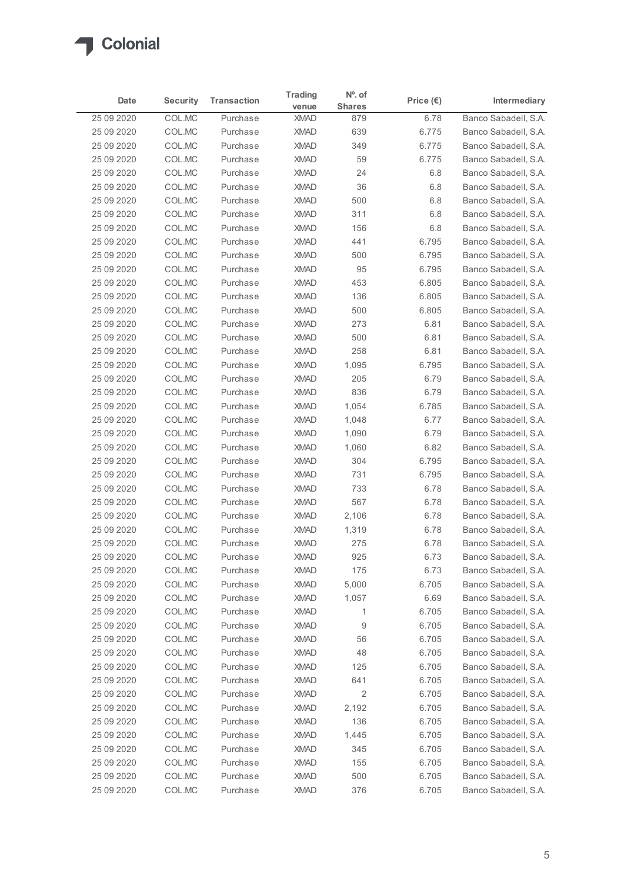| <b>Colonial</b>          |                  |                      |                            |                |                    |                                              |
|--------------------------|------------------|----------------------|----------------------------|----------------|--------------------|----------------------------------------------|
|                          |                  |                      | <b>Trading</b>             | $No$ . of      |                    |                                              |
| Date                     | <b>Security</b>  | <b>Transaction</b>   | venue                      | <b>Shares</b>  | Price $(\epsilon)$ | Intermediary                                 |
| 25 09 2020               | COL.MC           | Purchase             | <b>XMAD</b>                | 879            | 6.78               | Banco Sabadell, S.A.                         |
| 25 09 2020<br>25 09 2020 | COL.MC<br>COL.MC | Purchase<br>Purchase | <b>XMAD</b><br><b>XMAD</b> | 639<br>349     | 6.775<br>6.775     | Banco Sabadell, S.A.<br>Banco Sabadell, S.A. |
| 25 09 2020               | COL.MC           | Purchase             | <b>XMAD</b>                | 59             | 6.775              | Banco Sabadell, S.A.                         |
| 25 09 2020               | COL.MC           | Purchase             | <b>XMAD</b>                | 24             | 6.8                | Banco Sabadell, S.A.                         |
| 25 09 2020               | COL.MC           | Purchase             | <b>XMAD</b>                | 36             | 6.8                | Banco Sabadell, S.A.                         |
| 25 09 2020               | COL.MC           | Purchase             | <b>XMAD</b>                | 500            | 6.8                | Banco Sabadell, S.A.                         |
| 25 09 2020               | COL.MC           | Purchase             | <b>XMAD</b>                | 311            | 6.8                | Banco Sabadell, S.A.                         |
| 25 09 2020               | COL.MC           | Purchase             | <b>XMAD</b>                | 156            | 6.8                | Banco Sabadell, S.A.                         |
| 25 09 2020               | COL.MC           | Purchase             | <b>XMAD</b>                | 441            | 6.795              | Banco Sabadell, S.A.                         |
| 25 09 2020<br>25 09 2020 | COL.MC           | Purchase             | <b>XMAD</b>                | 500            | 6.795              | Banco Sabadell, S.A.                         |
| 25 09 2020               | COL.MC<br>COL.MC | Purchase<br>Purchase | <b>XMAD</b><br><b>XMAD</b> | 95<br>453      | 6.795<br>6.805     | Banco Sabadell, S.A.<br>Banco Sabadell, S.A. |
| 25 09 2020               | COL.MC           | Purchase             | XMAD                       | 136            | 6.805              | Banco Sabadell, S.A.                         |
| 25 09 2020               | COL.MC           | Purchase             | <b>XMAD</b>                | 500            | 6.805              | Banco Sabadell, S.A.                         |
| 25 09 2020               | COLMC            | Purchase             | <b>XMAD</b>                | 273            | 6.81               | Banco Sabadell, S.A.                         |
| 25 09 2020               | COL.MC           | Purchase             | <b>XMAD</b>                | 500            | 6.81               | Banco Sabadell, S.A.                         |
| 25 09 2020               | COL.MC           | Purchase             | <b>XMAD</b>                | 258            | 6.81               | Banco Sabadell, S.A.                         |
| 25 09 2020               | COL.MC           | Purchase             | <b>XMAD</b>                | 1,095          | 6.795              | Banco Sabadell, S.A.                         |
| 25 09 2020               | COL.MC           | Purchase             | <b>XMAD</b>                | 205            | 6.79               | Banco Sabadell, S.A.                         |
| 25 09 2020               | COL.MC           | Purchase             | <b>XMAD</b>                | 836            | 6.79               | Banco Sabadell, S.A.                         |
| 25 09 2020               | COL.MC           | Purchase             | <b>XMAD</b>                | 1,054          | 6.785              | Banco Sabadell, S.A.                         |
| 25 09 2020               | COL.MC           | Purchase             | <b>XMAD</b>                | 1,048          | 6.77               | Banco Sabadell, S.A.                         |
| 25 09 2020<br>25 09 2020 | COL.MC<br>COL.MC | Purchase<br>Purchase | <b>XMAD</b><br><b>XMAD</b> | 1,090<br>1,060 | 6.79<br>6.82       | Banco Sabadell, S.A.<br>Banco Sabadell, S.A. |
| 25 09 2020               | COL.MC           | Purchase             | <b>XMAD</b>                | 304            | 6.795              | Banco Sabadell, S.A.                         |
| 25 09 2020               | COL.MC           | Purchase             | <b>XMAD</b>                | 731            | 6.795              | Banco Sabadell, S.A.                         |
| 25 09 2020               | COLMC            | Purchase             | <b>XMAD</b>                | 733            | 6.78               | Banco Sabadell, S.A.                         |
| 25 09 2020               | COL.MC           | Purchase             | <b>XMAD</b>                | 567            | 6.78               | Banco Sabadell, S.A.                         |
| 25 09 2020               | COL.MC           | Purchase             | <b>XMAD</b>                | 2,106          | 6.78               | Banco Sabadell, S.A.                         |
| 25 09 2020               | COL.MC           | Purchase             | <b>XMAD</b>                | 1,319          | 6.78               | Banco Sabadell, S.A.                         |
| 25 09 2020               | COLMC            | Purchase             | <b>XMAD</b>                | 275            | 6.78               | Banco Sabadell, S.A.                         |
| 25 09 2020               | COL.MC           | Purchase             | <b>XMAD</b>                | 925            | 6.73               | Banco Sabadell, S.A.                         |
| 25 09 2020               | COL.MC           | Purchase             | <b>XMAD</b>                | 175            | 6.73               | Banco Sabadell, S.A.                         |
| 25 09 2020               | COL.MC           | Purchase             | <b>XMAD</b>                | 5,000          | 6.705              | Banco Sabadell, S.A.                         |
| 25 09 2020               | COL.MC           | Purchase             | <b>XMAD</b>                | 1,057          | 6.69               | Banco Sabadell, S.A.                         |
| 25 09 2020               | COL.MC           | Purchase             | <b>XMAD</b>                | $\mathbf{1}$   | 6.705              | Banco Sabadell, S.A.                         |
| 25 09 2020               | COLMC            | Purchase<br>Purchase | <b>XMAD</b><br><b>XMAD</b> | 9<br>56        | 6.705<br>6.705     | Banco Sabadell, S.A.<br>Banco Sabadell, S.A. |
| 25 09 2020<br>25 09 2020 | COL.MC<br>COL.MC | Purchase             | <b>XMAD</b>                | 48             | 6.705              | Banco Sabadell, S.A.                         |
| 25 09 2020               | COL.MC           | Purchase             | <b>XMAD</b>                | 125            | 6.705              | Banco Sabadell, S.A.                         |
| 25 09 2020               | COL.MC           | Purchase             | <b>XMAD</b>                | 641            | 6.705              | Banco Sabadell, S.A.                         |
| 25 09 2020               | COL.MC           | Purchase             | <b>XMAD</b>                | $\overline{c}$ | 6.705              | Banco Sabadell, S.A.                         |
| 25 09 2020               | COL.MC           | Purchase             | <b>XMAD</b>                | 2,192          | 6.705              | Banco Sabadell, S.A.                         |
| 25 09 2020               | COL.MC           | Purchase             | <b>XMAD</b>                | 136            | 6.705              | Banco Sabadell, S.A.                         |
| 25 09 2020               | COL.MC           | Purchase             | <b>XMAD</b>                | 1,445          | 6.705              | Banco Sabadell, S.A.                         |
| 25 09 2020               | COL.MC           | Purchase             | <b>XMAD</b>                | 345            | 6.705              | Banco Sabadell, S.A.                         |
| 25 09 2020               | COL.MC           | Purchase             | <b>XMAD</b>                | 155            | 6.705              | Banco Sabadell, S.A.                         |
| 25 09 2020               | COL.MC           | Purchase             | <b>XMAD</b>                | 500            | 6.705              | Banco Sabadell, S.A.                         |
|                          | COL.MC           | Purchase             | <b>XMAD</b>                |                | 6.705              |                                              |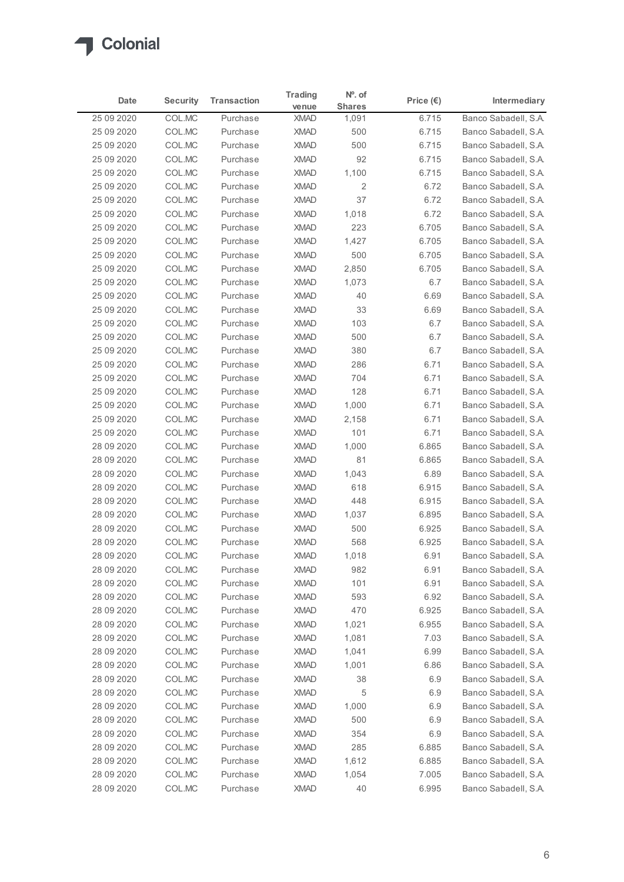

|             |                 |                    | <b>Trading</b> | N°. of         |                    |                      |
|-------------|-----------------|--------------------|----------------|----------------|--------------------|----------------------|
| Date        | <b>Security</b> | <b>Transaction</b> | venue          | <b>Shares</b>  | Price $(\epsilon)$ | <b>Intermediary</b>  |
| 25 09 2020  | COL.MC          | Purchase           | <b>XMAD</b>    | 1,091          | 6.715              | Banco Sabadell, S.A. |
| 25 09 2020  | COL.MC          | Purchase           | <b>XMAD</b>    | 500            | 6.715              | Banco Sabadell, S.A. |
| 25 09 2020  | COL.MC          | Purchase           | <b>XMAD</b>    | 500            | 6.715              | Banco Sabadell, S.A. |
| 25 09 2020  | COL.MC          | Purchase           | <b>XMAD</b>    | 92             | 6.715              | Banco Sabadell, S.A. |
| 25 09 2020  | COL.MC          | Purchase           | <b>XMAD</b>    | 1,100          | 6.715              | Banco Sabadell, S.A. |
| 25 09 2020  | COL.MC          | Purchase           | <b>XMAD</b>    | $\overline{2}$ | 6.72               | Banco Sabadell, S.A. |
| 25 09 2020  | COL.MC          | Purchase           | <b>XMAD</b>    | 37             | 6.72               | Banco Sabadell, S.A. |
| 25 09 2020  | COL.MC          | Purchase           | <b>XMAD</b>    | 1,018          | 6.72               | Banco Sabadell, S.A. |
| 25 09 2020  | COL.MC          | Purchase           | <b>XMAD</b>    | 223            | 6.705              | Banco Sabadell, S.A. |
| 25 09 2020  | COL.MC          | Purchase           | <b>XMAD</b>    | 1,427          | 6.705              | Banco Sabadell, S.A. |
| 25 09 2020  | COL.MC          | Purchase           | <b>XMAD</b>    | 500            | 6.705              | Banco Sabadell, S.A. |
| 25 09 2020  | COL.MC          | Purchase           | <b>XMAD</b>    | 2,850          | 6.705              | Banco Sabadell, S.A. |
| 25 09 2020  | COL.MC          | Purchase           | <b>XMAD</b>    | 1,073          | 6.7                | Banco Sabadell, S.A. |
| 25 09 2020  | COL.MC          | Purchase           | <b>XMAD</b>    | 40             | 6.69               | Banco Sabadell, S.A. |
| 25 09 2020  | COL.MC          | Purchase           | <b>XMAD</b>    | 33             | 6.69               | Banco Sabadell, S.A. |
| 25 09 2020  | COL.MC          | Purchase           | <b>XMAD</b>    | 103            | 6.7                | Banco Sabadell, S.A. |
| 25 09 2020  | COL.MC          | Purchase           | <b>XMAD</b>    | 500            | 6.7                | Banco Sabadell, S.A. |
| 25 09 2020  | COL.MC          | Purchase           | <b>XMAD</b>    | 380            | 6.7                | Banco Sabadell, S.A. |
| 25 09 2020  | COL.MC          | Purchase           | <b>XMAD</b>    | 286            | 6.71               | Banco Sabadell, S.A. |
| 25 09 2020  | COL.MC          | Purchase           | <b>XMAD</b>    | 704            | 6.71               | Banco Sabadell, S.A. |
| 25 09 2020  | COL.MC          | Purchase           | <b>XMAD</b>    | 128            | 6.71               | Banco Sabadell, S.A. |
| 25 09 2020  | COL.MC          | Purchase           | <b>XMAD</b>    | 1,000          | 6.71               | Banco Sabadell, S.A. |
| 25 09 2020  | COL.MC          | Purchase           | <b>XMAD</b>    | 2,158          | 6.71               | Banco Sabadell, S.A. |
| 25 09 2020  | COL.MC          | Purchase           | <b>XMAD</b>    | 101            | 6.71               | Banco Sabadell, S.A. |
| 28 09 2020  | COL.MC          | Purchase           | <b>XMAD</b>    | 1,000          | 6.865              | Banco Sabadell, S.A. |
| 28 09 2020  | COL.MC          | Purchase           | <b>XMAD</b>    | 81             | 6.865              | Banco Sabadell, S.A. |
| 28 09 2020  | COL.MC          | Purchase           | <b>XMAD</b>    | 1,043          | 6.89               | Banco Sabadell, S.A. |
| 28 09 2020  | COL.MC          | Purchase           | <b>XMAD</b>    | 618            | 6.915              | Banco Sabadell, S.A. |
| 28 09 2020  | COL.MC          | Purchase           | <b>XMAD</b>    | 448            | 6.915              | Banco Sabadell, S.A. |
| 28 09 2020  | COL.MC          | Purchase           | <b>XMAD</b>    | 1,037          | 6.895              | Banco Sabadell, S.A. |
| 28 09 2020  | COL.MC          | Purchase           | <b>XMAD</b>    | 500            | 6.925              | Banco Sabadell, S.A. |
| 28 09 2020  | COL.MC          | Purchase           | <b>XMAD</b>    | 568            | 6.925              | Banco Sabadell, S.A. |
| 28 09 2020  | COL.MC          | Purchase           | <b>XMAD</b>    | 1,018          | 6.91               | Banco Sabadell, S.A. |
| 28 09 2020  | COL.MC          | Purchase           | <b>XMAD</b>    | 982            | 6.91               | Banco Sabadell, S.A. |
| 28 09 2020  | COL.MC          | Purchase           | <b>XMAD</b>    | 101            | 6.91               | Banco Sabadell, S.A. |
| 28 09 2020  | COL.MC          | Purchase           | <b>XMAD</b>    | 593            | 6.92               | Banco Sabadell, S.A. |
| 28 09 2020  | COL.MC          | Purchase           | XMAD           | 470            | 6.925              | Banco Sabadell, S.A. |
| 28 09 2020  | COL.MC          | Purchase           | <b>XMAD</b>    | 1,021          | 6.955              | Banco Sabadell, S.A. |
| 28 09 20 20 | COL.MC          | Purchase           | <b>XMAD</b>    | 1,081          | 7.03               | Banco Sabadell, S.A. |
| 28 09 2020  | COL.MC          | Purchase           | <b>XMAD</b>    | 1,041          | 6.99               | Banco Sabadell, S.A. |
| 28 09 2020  | COL.MC          | Purchase           | <b>XMAD</b>    | 1,001          | 6.86               | Banco Sabadell, S.A. |
| 28 09 2020  | COL.MC          | Purchase           | <b>XMAD</b>    | 38             | 6.9                | Banco Sabadell, S.A. |
| 28 09 20 20 | COL.MC          | Purchase           | XMAD           | 5              | 6.9                | Banco Sabadell, S.A. |
| 28 09 20 20 | COL.MC          | Purchase           | XMAD           | 1,000          | 6.9                | Banco Sabadell, S.A. |
| 28 09 2020  | COL.MC          | Purchase           | <b>XMAD</b>    | 500            | 6.9                | Banco Sabadell, S.A. |
| 28 09 2020  | COL.MC          | Purchase           | <b>XMAD</b>    | 354            | 6.9                | Banco Sabadell, S.A. |
| 28 09 2020  | COL.MC          | Purchase           | <b>XMAD</b>    | 285            | 6.885              | Banco Sabadell, S.A. |
| 28 09 2020  | COL.MC          | Purchase           | <b>XMAD</b>    | 1,612          | 6.885              | Banco Sabadell, S.A. |
| 28 09 2020  | COL.MC          | Purchase           | <b>XMAD</b>    | 1,054          | 7.005              | Banco Sabadell, S.A. |
| 28 09 2020  | COL.MC          | Purchase           | <b>XMAD</b>    | 40             | 6.995              | Banco Sabadell, S.A. |
|             |                 |                    |                |                |                    |                      |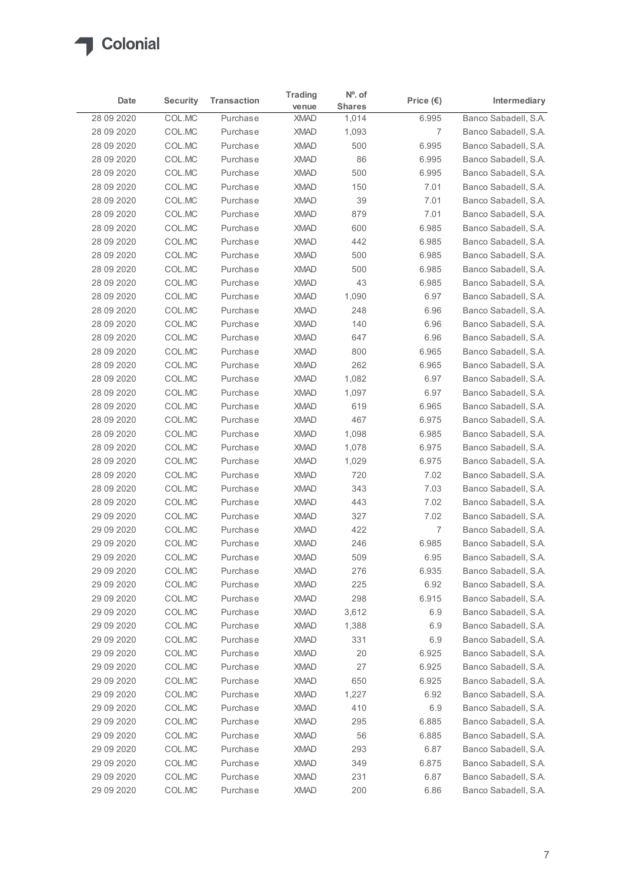

| Date                       | <b>Security</b>  | <b>Transaction</b>   | <b>Trading</b><br>venue    | $No$ . of<br><b>Shares</b> | Price $(\epsilon)$ | Intermediary                                 |
|----------------------------|------------------|----------------------|----------------------------|----------------------------|--------------------|----------------------------------------------|
| 28 09 20 20                | COL.MC           | Purchase             | <b>XMAD</b>                | 1,014                      | 6.995              | Banco Sabadell, S.A.                         |
| 28 09 20 20                | COL.MC           | Purchase             | <b>XMAD</b>                | 1,093                      | 7                  | Banco Sabadell, S.A.                         |
| 28 09 20 20                | COL.MC           | Purchase             | <b>XMAD</b>                | 500                        | 6.995              | Banco Sabadell, S.A.                         |
| 28 09 20 20                | COL.MC           | Purchase             | <b>XMAD</b>                | 86                         | 6.995              | Banco Sabadell, S.A.                         |
| 28 09 20 20                | COL.MC           | Purchase             | <b>XMAD</b>                | 500                        | 6.995              | Banco Sabadell, S.A.                         |
| 28 09 20 20<br>28 09 20 20 | COL.MC<br>COL.MC | Purchase<br>Purchase | <b>XMAD</b><br><b>XMAD</b> | 150<br>39                  | 7.01<br>7.01       | Banco Sabadell, S.A.<br>Banco Sabadell, S.A. |
| 28 09 20 20                | COL.MC           | Purchase             | <b>XMAD</b>                | 879                        | 7.01               | Banco Sabadell, S.A.                         |
| 28 09 20 20                | COL.MC           | Purchase             | <b>XMAD</b>                | 600                        | 6.985              | Banco Sabadell, S.A.                         |
| 28 09 20 20                | COL.MC           | Purchase             | <b>XMAD</b>                | 442                        | 6.985              | Banco Sabadell, S.A.                         |
| 28 09 20 20                | COL.MC           | Purchase             | <b>XMAD</b>                | 500                        | 6.985              | Banco Sabadell, S.A.                         |
| 28 09 20 20                | COL.MC           | Purchase             | <b>XMAD</b>                | 500                        | 6.985              | Banco Sabadell, S.A.                         |
| 28 09 20 20                | COL.MC           | Purchase             | <b>XMAD</b>                | 43                         | 6.985              | Banco Sabadell, S.A.                         |
| 28 09 20 20                | COL.MC           | Purchase             | XMAD                       | 1,090                      | 6.97               | Banco Sabadell, S.A.                         |
| 28 09 20 20                | COL.MC           | Purchase             | <b>XMAD</b>                | 248                        | 6.96               | Banco Sabadell, S.A.                         |
| 28 09 20 20<br>28 09 20 20 | COL.MC<br>COL.MC | Purchase<br>Purchase | <b>XMAD</b><br><b>XMAD</b> | 140<br>647                 | 6.96<br>6.96       | Banco Sabadell, S.A.<br>Banco Sabadell, S.A. |
| 28 09 20 20                | COL.MC           | Purchase             | <b>XMAD</b>                | 800                        | 6.965              | Banco Sabadell, S.A.                         |
| 28 09 20 20                | COL.MC           | Purchase             | <b>XMAD</b>                | 262                        | 6.965              | Banco Sabadell, S.A.                         |
| 28 09 20 20                | COL.MC           | Purchase             | <b>XMAD</b>                | 1,082                      | 6.97               | Banco Sabadell, S.A.                         |
| 28 09 20 20                | COL.MC           | Purchase             | <b>XMAD</b>                | 1,097                      | 6.97               | Banco Sabadell, S.A.                         |
| 28 09 20 20                | COL.MC           | Purchase             | <b>XMAD</b>                | 619                        | 6.965              | Banco Sabadell, S.A.                         |
| 28 09 20 20                | COL.MC           | Purchase             | <b>XMAD</b>                | 467                        | 6.975              | Banco Sabadell, S.A.                         |
| 28 09 20 20                | COL.MC           | Purchase             | <b>XMAD</b>                | 1,098                      | 6.985              | Banco Sabadell, S.A.                         |
| 28 09 20 20                | COL.MC           | Purchase             | <b>XMAD</b>                | 1,078                      | 6.975              | Banco Sabadell, S.A.                         |
| 28 09 20 20                | COL.MC           | Purchase<br>Purchase | <b>XMAD</b>                | 1,029                      | 6.975              | Banco Sabadell, S.A.                         |
| 28 09 20 20<br>28 09 20 20 | COL.MC<br>COL.MC | Purchase             | <b>XMAD</b><br><b>XMAD</b> | 720<br>343                 | 7.02<br>7.03       | Banco Sabadell, S.A.<br>Banco Sabadell, S.A. |
| 28 09 20 20                | COL.MC           | Purchase             | <b>XMAD</b>                | 443                        | 7.02               | Banco Sabadell, S.A.                         |
| 29 09 20 20                | COL.MC           | Purchase             | <b>XMAD</b>                | 327                        | 7.02               | Banco Sabadell, S.A.                         |
| 29 09 20 20                | COL.MC           | Purchase             | <b>XMAD</b>                | 422                        | $\overline{7}$     | Banco Sabadell, S.A.                         |
| 29 09 20 20                | COL.MC           | Purchase             | <b>XMAD</b>                | 246                        | 6.985              | Banco Sabadell, S.A.                         |
| 29 09 20 20                | COL.MC           | Purchase             | <b>XMAD</b>                | 509                        | 6.95               | Banco Sabadell, S.A.                         |
| 29 09 20 20                | COL.MC           | Purchase             | <b>XMAD</b>                | 276                        | 6.935              | Banco Sabadell, S.A.                         |
| 29 09 20 20                | COL.MC           | Purchase             | <b>XMAD</b>                | 225                        | 6.92               | Banco Sabadell, S.A.                         |
| 29 09 20 20                | COL.MC           | Purchase             | <b>XMAD</b>                | 298                        | 6.915              | Banco Sabadell, S.A.                         |
| 29 09 20 20                | COL.MC           | Purchase             | <b>XMAD</b>                | 3,612                      | 6.9                | Banco Sabadell, S.A.                         |
| 29 09 20 20                | COL.MC           | Purchase             | <b>XMAD</b>                | 1,388                      | 6.9                | Banco Sabadell, S.A.                         |
| 29 09 20 20                | COL.MC           | Purchase<br>Purchase | <b>XMAD</b>                | 331                        | 6.9                | Banco Sabadell, S.A.<br>Banco Sabadell, S.A. |
| 29 09 20 20<br>29 09 20 20 | COL.MC<br>COL.MC | Purchase             | <b>XMAD</b><br><b>XMAD</b> | 20<br>27                   | 6.925<br>6.925     | Banco Sabadell, S.A.                         |
| 29 09 20 20                | COL.MC           | Purchase             | <b>XMAD</b>                | 650                        | 6.925              | Banco Sabadell, S.A.                         |
| 29 09 20 20                | COL.MC           | Purchase             | <b>XMAD</b>                | 1,227                      | 6.92               | Banco Sabadell, S.A.                         |
| 29 09 20 20                | COL.MC           | Purchase             | <b>XMAD</b>                | 410                        | 6.9                | Banco Sabadell, S.A.                         |
| 29 09 20 20                | COL.MC           | Purchase             | <b>XMAD</b>                | 295                        | 6.885              | Banco Sabadell, S.A.                         |
| 29 09 20 20                | COL.MC           | Purchase             | <b>XMAD</b>                | 56                         | 6.885              | Banco Sabadell, S.A.                         |
| 29 09 20 20                | COL.MC           | Purchase             | <b>XMAD</b>                | 293                        | 6.87               | Banco Sabadell, S.A.                         |
| 29 09 20 20                | COL.MC           | Purchase             | <b>XMAD</b>                | 349                        | 6.875              | Banco Sabadell, S.A.                         |
|                            | COL.MC           | Purchase             | <b>XMAD</b>                | 231                        | 6.87               | Banco Sabadell, S.A.                         |
| 29 09 20 20<br>29 09 20 20 | COLMC            | Purchase             | <b>XMAD</b>                | 200                        | 6.86               | Banco Sabadell, S.A.                         |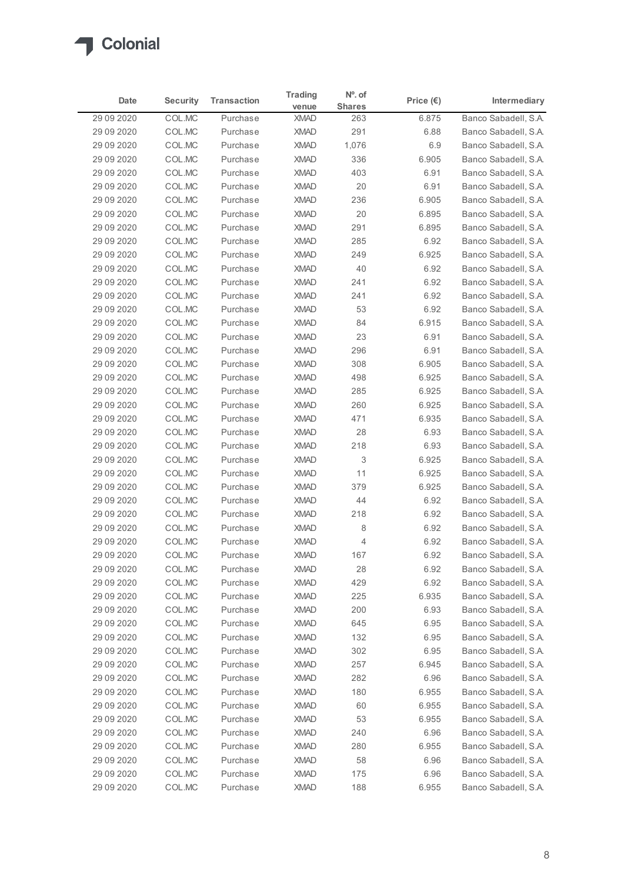

| Date                       | <b>Security</b>  | <b>Transaction</b>   | <b>Trading</b>             | $No$ . of            | Price $(\epsilon)$ | Intermediary                                 |
|----------------------------|------------------|----------------------|----------------------------|----------------------|--------------------|----------------------------------------------|
| 29 09 20 20                | COL.MC           | Purchase             | venue<br><b>XMAD</b>       | <b>Shares</b><br>263 | 6.875              | Banco Sabadell, S.A.                         |
| 29 09 2020                 | COL.MC           | Purchase             | <b>XMAD</b>                | 291                  | 6.88               | Banco Sabadell, S.A.                         |
| 29 09 2020                 | COL.MC           | Purchase             | <b>XMAD</b>                | 1,076                | 6.9                | Banco Sabadell, S.A.                         |
| 29 09 20 20                | COL.MC           | Purchase             | <b>XMAD</b>                | 336                  | 6.905              | Banco Sabadell, S.A.                         |
| 29 09 2020                 | COL.MC           | Purchase             | <b>XMAD</b>                | 403                  | 6.91               | Banco Sabadell, S.A.                         |
| 29 09 2020<br>29 09 2020   | COL.MC<br>COL.MC | Purchase<br>Purchase | XMAD<br><b>XMAD</b>        | 20<br>236            | 6.91<br>6.905      | Banco Sabadell, S.A.<br>Banco Sabadell, S.A. |
| 29 09 20 20                | COL.MC           | Purchase             | <b>XMAD</b>                | 20                   | 6.895              | Banco Sabadell, S.A.                         |
| 29 09 20 20                | COL.MC           | Purchase             | <b>XMAD</b>                | 291                  | 6.895              | Banco Sabadell, S.A.                         |
| 29 09 20 20                | COL.MC           | Purchase             | <b>XMAD</b>                | 285                  | 6.92               | Banco Sabadell, S.A.                         |
| 29 09 20 20                | COL.MC           | Purchase             | <b>XMAD</b>                | 249                  | 6.925              | Banco Sabadell, S.A.                         |
| 29 09 2020                 | COL.MC           | Purchase             | <b>XMAD</b>                | 40                   | 6.92               | Banco Sabadell, S.A.                         |
| 29 09 2020                 | COL.MC           | Purchase             | <b>XMAD</b>                | 241                  | 6.92               | Banco Sabadell, S.A.                         |
| 29 09 2020<br>29 09 20 20  | COL.MC<br>COL.MC | Purchase<br>Purchase | <b>XMAD</b><br><b>XMAD</b> | 241<br>53            | 6.92<br>6.92       | Banco Sabadell, S.A.<br>Banco Sabadell, S.A. |
| 29 09 20 20                | COL.MC           | Purchase             | XMAD                       | 84                   | 6.915              | Banco Sabadell, S.A.                         |
| 29 09 20 20                | COL.MC           | Purchase             | XMAD                       | 23                   | 6.91               | Banco Sabadell, S.A.                         |
| 29 09 20 20                | COL.MC           | Purchase             | <b>XMAD</b>                | 296                  | 6.91               | Banco Sabadell, S.A.                         |
| 29 09 20 20                | COL.MC           | Purchase             | <b>XMAD</b>                | 308                  | 6.905              | Banco Sabadell, S.A.                         |
| 29 09 2020                 | COL.MC           | Purchase             | <b>XMAD</b>                | 498                  | 6.925              | Banco Sabadell, S.A.                         |
| 29 09 20 20<br>29 09 20 20 | COL.MC<br>COL.MC | Purchase<br>Purchase | <b>XMAD</b><br>XMAD        | 285<br>260           | 6.925<br>6.925     | Banco Sabadell, S.A.<br>Banco Sabadell, S.A. |
| 29 09 2020                 | COL.MC           | Purchase             | <b>XMAD</b>                | 471                  | 6.935              | Banco Sabadell, S.A.                         |
| 29 09 20 20                | COL.MC           | Purchase             | <b>XMAD</b>                | 28                   | 6.93               | Banco Sabadell, S.A.                         |
| 29 09 20 20                | COL.MC           | Purchase             | <b>XMAD</b>                | 218                  | 6.93               | Banco Sabadell, S.A.                         |
| 29 09 20 20                | COL.MC           | Purchase             | <b>XMAD</b>                | 3                    | 6.925              | Banco Sabadell, S.A.                         |
| 29 09 20 20                | COL.MC           | Purchase             | <b>XMAD</b>                | 11                   | 6.925              | Banco Sabadell, S.A.                         |
| 29 09 20 20                | COL.MC           | Purchase             | <b>XMAD</b>                | 379                  | 6.925              | Banco Sabadell, S.A.                         |
| 29 09 2020<br>29 09 20 20  | COL.MC           | Purchase<br>Purchase | <b>XMAD</b><br><b>XMAD</b> | 44                   | 6.92<br>6.92       | Banco Sabadell, S.A.<br>Banco Sabadell, S.A. |
| 29 09 20 20                | COL.MC<br>COL.MC | Purchase             | <b>XMAD</b>                | 218<br>8             | 6.92               | Banco Sabadell, S.A.                         |
| 29 09 20 20                | COL.MC           | Purchase             | <b>XMAD</b>                | 4                    | 6.92               | Banco Sabadell, S.A.                         |
| 29 09 20 20                | COL.MC           | Purchase             | <b>XMAD</b>                | 167                  | 6.92               | Banco Sabadell, S.A.                         |
| 29 09 20 20                | COL.MC           | Purchase             | <b>XMAD</b>                | 28                   | 6.92               | Banco Sabadell, S.A.                         |
| 29 09 2020                 | COL.MC           | Purchase             | <b>XMAD</b>                | 429                  | 6.92               | Banco Sabadell, S.A.                         |
| 29 09 2020                 | COL.MC           | Purchase             | <b>XMAD</b>                | 225                  | 6.935              | Banco Sabadell, S.A.                         |
| 29 09 2020                 | COL.MC           | Purchase             | <b>XMAD</b>                | 200                  | 6.93               | Banco Sabadell, S.A.                         |
| 29 09 2020<br>29 09 2020   | COL.MC<br>COL.MC | Purchase<br>Purchase | <b>XMAD</b><br>XMAD        | 645<br>132           | 6.95<br>6.95       | Banco Sabadell, S.A.<br>Banco Sabadell, S.A. |
| 29 09 2020                 | COL.MC           | Purchase             | XMAD                       | 302                  | 6.95               | Banco Sabadell, S.A.                         |
| 29 09 2020                 | COL.MC           | Purchase             | <b>XMAD</b>                | 257                  | 6.945              | Banco Sabadell, S.A.                         |
| 29 09 2020                 | COL.MC           | Purchase             | <b>XMAD</b>                | 282                  | 6.96               | Banco Sabadell, S.A.                         |
| 29 09 20 20                | COL.MC           | Purchase             | <b>XMAD</b>                | 180                  | 6.955              | Banco Sabadell, S.A.                         |
| 29 09 2020                 | COL.MC           | Purchase             | XMAD                       | 60                   | 6.955              | Banco Sabadell, S.A.                         |
| 29 09 2020                 | COL.MC           | Purchase             | XMAD                       | 53                   | 6.955              | Banco Sabadell, S.A.                         |
| 29 09 2020                 | COL.MC           | Purchase             | <b>XMAD</b>                | 240                  | 6.96               | Banco Sabadell, S.A.                         |
| 29 09 20 20<br>29 09 2020  | COL.MC           | Purchase             | <b>XMAD</b>                | 280                  | 6.955              | Banco Sabadell, S.A.                         |
|                            | COL.MC<br>COL.MC | Purchase<br>Purchase | <b>XMAD</b><br>XMAD        | 58<br>175            | 6.96<br>6.96       | Banco Sabadell, S.A.<br>Banco Sabadell, S.A. |
| 29 09 20 20                |                  | Purchase             | XMAD                       | 188                  | 6.955              | Banco Sabadell, S.A.                         |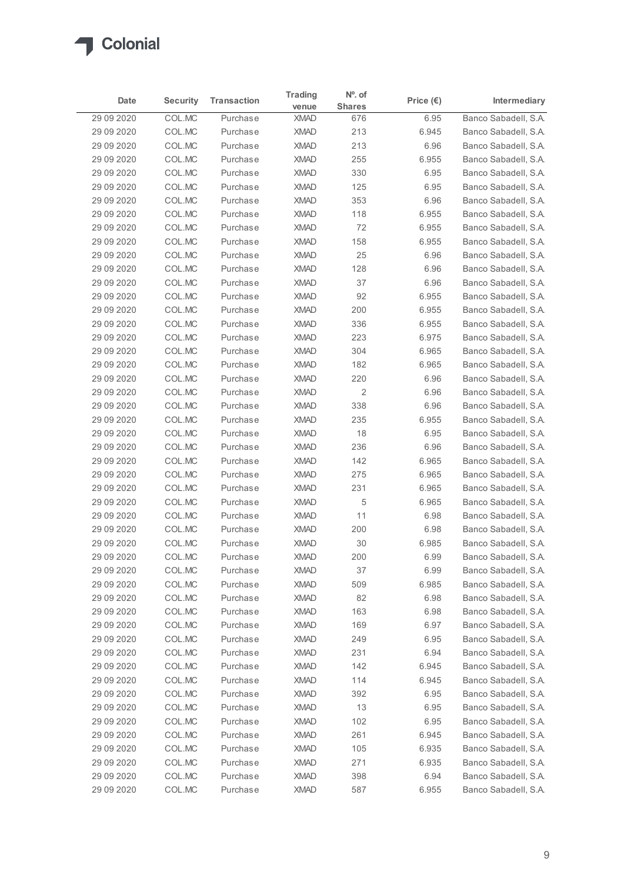# Colonial

|            |                 |                    | <b>Trading</b> | $No$ . of      |                    |                      |
|------------|-----------------|--------------------|----------------|----------------|--------------------|----------------------|
| Date       | <b>Security</b> | <b>Transaction</b> | venue          | <b>Shares</b>  | Price $(\epsilon)$ | Intermediary         |
| 29 09 2020 | COL.MC          | Purchase           | <b>XMAD</b>    | 676            | 6.95               | Banco Sabadell, S.A. |
| 29 09 2020 | COL.MC          | Purchase           | <b>XMAD</b>    | 213            | 6.945              | Banco Sabadell, S.A. |
| 29 09 2020 | COL.MC          | Purchase           | <b>XMAD</b>    | 213            | 6.96               | Banco Sabadell, S.A. |
| 29 09 2020 | COL.MC          | Purchase           | <b>XMAD</b>    | 255            | 6.955              | Banco Sabadell, S.A. |
| 29 09 2020 | COL.MC          | Purchase           | <b>XMAD</b>    | 330            | 6.95               | Banco Sabadell, S.A. |
| 29 09 2020 | COL.MC          | Purchase           | <b>XMAD</b>    | 125            | 6.95               | Banco Sabadell, S.A. |
| 29 09 2020 | COL.MC          | Purchase           | <b>XMAD</b>    | 353            | 6.96               | Banco Sabadell, S.A. |
| 29 09 2020 | COL.MC          | Purchase           | <b>XMAD</b>    | 118            | 6.955              | Banco Sabadell, S.A. |
| 29 09 2020 | COL.MC          | Purchase           | <b>XMAD</b>    | 72             | 6.955              | Banco Sabadell, S.A. |
| 29 09 2020 | COL.MC          | Purchase           | <b>XMAD</b>    | 158            | 6.955              | Banco Sabadell, S.A. |
| 29 09 2020 | COL.MC          | Purchase           | <b>XMAD</b>    | 25             | 6.96               | Banco Sabadell, S.A. |
| 29 09 2020 | COL.MC          | Purchase           | <b>XMAD</b>    | 128            | 6.96               | Banco Sabadell, S.A. |
| 29 09 2020 | COL.MC          | Purchase           | <b>XMAD</b>    | 37             | 6.96               | Banco Sabadell, S.A. |
| 29 09 2020 | COL.MC          | Purchase           | <b>XMAD</b>    | 92             | 6.955              | Banco Sabadell, S.A. |
| 29 09 2020 | COL.MC          | Purchase           | <b>XMAD</b>    | 200            | 6.955              | Banco Sabadell, S.A. |
| 29 09 2020 | COL.MC          | Purchase           | <b>XMAD</b>    | 336            | 6.955              | Banco Sabadell, S.A. |
| 29 09 2020 | COL.MC          | Purchase           | <b>XMAD</b>    | 223            | 6.975              | Banco Sabadell, S.A. |
| 29 09 2020 | COL.MC          | Purchase           | <b>XMAD</b>    | 304            | 6.965              | Banco Sabadell, S.A. |
| 29 09 2020 | COL.MC          | Purchase           | <b>XMAD</b>    | 182            | 6.965              | Banco Sabadell, S.A. |
| 29 09 2020 | COL.MC          | Purchase           | <b>XMAD</b>    | 220            | 6.96               | Banco Sabadell, S.A. |
| 29 09 2020 | COL.MC          | Purchase           | <b>XMAD</b>    | $\overline{c}$ | 6.96               | Banco Sabadell, S.A. |
| 29 09 2020 | COL.MC          | Purchase           | <b>XMAD</b>    | 338            | 6.96               | Banco Sabadell, S.A. |
| 29 09 2020 | COL.MC          | Purchase           | <b>XMAD</b>    | 235            | 6.955              | Banco Sabadell, S.A. |
| 29 09 2020 | COL.MC          | Purchase           | <b>XMAD</b>    | 18             | 6.95               | Banco Sabadell, S.A. |
| 29 09 2020 | COL.MC          | Purchase           | <b>XMAD</b>    | 236            | 6.96               | Banco Sabadell, S.A. |
| 29 09 2020 | COL.MC          | Purchase           | <b>XMAD</b>    | 142            | 6.965              | Banco Sabadell, S.A. |
| 29 09 2020 | COL.MC          | Purchase           | <b>XMAD</b>    | 275            | 6.965              | Banco Sabadell, S.A. |
| 29 09 2020 | COL.MC          | Purchase           | <b>XMAD</b>    | 231            | 6.965              | Banco Sabadell, S.A. |
| 29 09 2020 | COL.MC          | Purchase           | <b>XMAD</b>    | 5              | 6.965              | Banco Sabadell, S.A. |
| 29 09 2020 | COL.MC          | Purchase           | <b>XMAD</b>    | 11             | 6.98               | Banco Sabadell, S.A. |
| 29 09 2020 | COL.MC          | Purchase           | <b>XMAD</b>    | 200            | 6.98               | Banco Sabadell, S.A. |
| 29 09 2020 | COL.MC          | Purchase           | <b>XMAD</b>    | 30             | 6.985              | Banco Sabadell, S.A. |
| 29 09 2020 | COL.MC          | Purchase           | <b>XMAD</b>    | 200            | 6.99               | Banco Sabadell, S.A. |
| 29 09 2020 | COL.MC          | Purchase           | <b>XMAD</b>    | 37             | 6.99               | Banco Sabadell, S.A. |
| 29 09 2020 | COL.MC          | Purchase           | <b>XMAD</b>    | 509            | 6.985              | Banco Sabadell, S.A. |
| 29 09 2020 | COL.MC          | Purchase           | <b>XMAD</b>    | 82             | 6.98               | Banco Sabadell, S.A. |
| 29 09 2020 | COL.MC          | Purchase           | <b>XMAD</b>    | 163            | 6.98               | Banco Sabadell, S.A. |
| 29 09 2020 | COL.MC          | Purchase           | <b>XMAD</b>    | 169            | 6.97               | Banco Sabadell, S.A. |
| 29 09 2020 | COL.MC          | Purchase           | <b>XMAD</b>    | 249            | 6.95               | Banco Sabadell, S.A. |
| 29 09 2020 | COL.MC          | Purchase           | <b>XMAD</b>    | 231            | 6.94               | Banco Sabadell, S.A. |
| 29 09 2020 | COL.MC          | Purchase           | XMAD           | 142            | 6.945              | Banco Sabadell, S.A. |
| 29 09 2020 | COL.MC          | Purchase           | <b>XMAD</b>    | 114            | 6.945              | Banco Sabadell, S.A. |
| 29 09 2020 | COL.MC          | Purchase           | XMAD           | 392            | 6.95               | Banco Sabadell, S.A. |
| 29 09 2020 | COL.MC          | Purchase           | <b>XMAD</b>    | 13             | 6.95               | Banco Sabadell, S.A. |
| 29 09 2020 | COL.MC          | Purchase           | <b>XMAD</b>    | 102            | 6.95               | Banco Sabadell, S.A. |
| 29 09 2020 | COL.MC          | Purchase           | <b>XMAD</b>    | 261            | 6.945              | Banco Sabadell, S.A. |
| 29 09 2020 | COL.MC          | Purchase           | <b>XMAD</b>    | 105            | 6.935              | Banco Sabadell, S.A. |
| 29 09 2020 | COL.MC          | Purchase           | <b>XMAD</b>    | 271            | 6.935              | Banco Sabadell, S.A. |
| 29 09 2020 | COL.MC          | Purchase           | <b>XMAD</b>    | 398            | 6.94               | Banco Sabadell, S.A. |
| 29 09 2020 | COL.MC          | Purchase           | <b>XMAD</b>    | 587            | 6.955              | Banco Sabadell, S.A. |